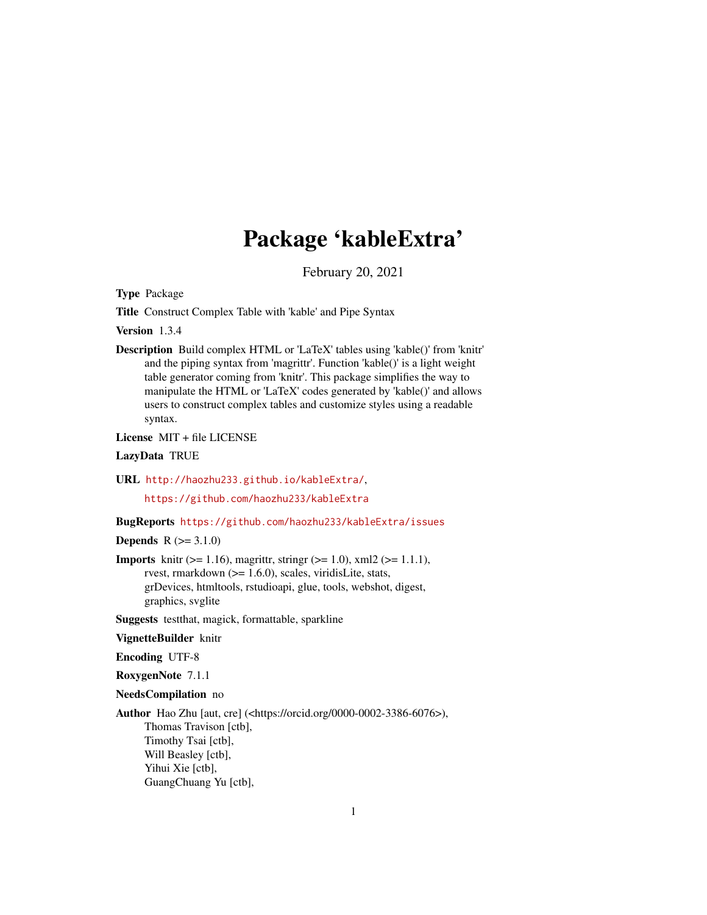## Package 'kableExtra'

February 20, 2021

<span id="page-0-0"></span>Type Package

Title Construct Complex Table with 'kable' and Pipe Syntax

Version 1.3.4

Description Build complex HTML or 'LaTeX' tables using 'kable()' from 'knitr' and the piping syntax from 'magrittr'. Function 'kable()' is a light weight table generator coming from 'knitr'. This package simplifies the way to manipulate the HTML or 'LaTeX' codes generated by 'kable()' and allows users to construct complex tables and customize styles using a readable syntax.

License MIT + file LICENSE

### LazyData TRUE

URL <http://haozhu233.github.io/kableExtra/>,

<https://github.com/haozhu233/kableExtra>

### BugReports <https://github.com/haozhu233/kableExtra/issues>

**Depends**  $R (= 3.1.0)$ 

**Imports** knitr ( $> = 1.16$ ), magrittr, stringr ( $> = 1.0$ ), xml2 ( $> = 1.1.1$ ), rvest, rmarkdown (>= 1.6.0), scales, viridisLite, stats, grDevices, htmltools, rstudioapi, glue, tools, webshot, digest, graphics, svglite

Suggests testthat, magick, formattable, sparkline

#### VignetteBuilder knitr

Encoding UTF-8

RoxygenNote 7.1.1

#### NeedsCompilation no

Author Hao Zhu [aut, cre] (<https://orcid.org/0000-0002-3386-6076>), Thomas Travison [ctb], Timothy Tsai [ctb], Will Beasley [ctb], Yihui Xie [ctb], GuangChuang Yu [ctb],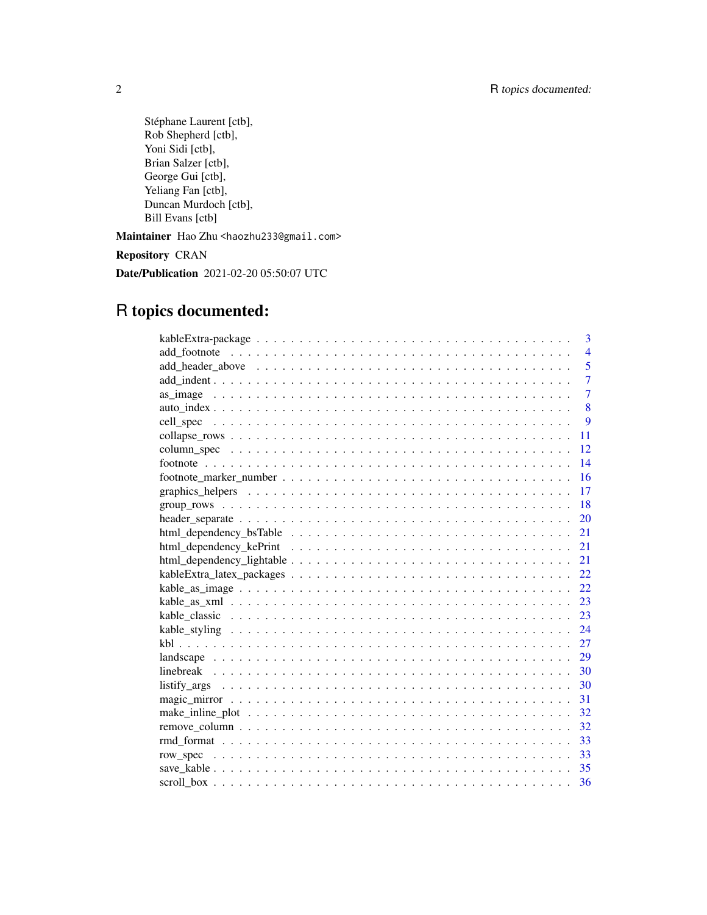Stéphane Laurent [ctb], Rob Shepherd [ctb], Yoni Sidi [ctb], Brian Salzer [ctb], George Gui [ctb], Yeliang Fan [ctb], Duncan Murdoch [ctb], Bill Evans [ctb] Maintainer Hao Zhu <haozhu233@gmail.com> Repository CRAN Date/Publication 2021-02-20 05:50:07 UTC

## R topics documented:

| 3              |
|----------------|
| $\overline{4}$ |
| 5              |
| $\overline{7}$ |
| $\overline{7}$ |
| 8              |
| $\mathbf{Q}$   |
| 11             |
| 12             |
| 14             |
| 16             |
| 17             |
| -18            |
| 20             |
| 21             |
| 21             |
| 21             |
|                |
| 22             |
|                |
| 23             |
|                |
|                |
| 29             |
|                |
|                |
| 31             |
| 32             |
|                |
|                |
| 33             |
|                |
|                |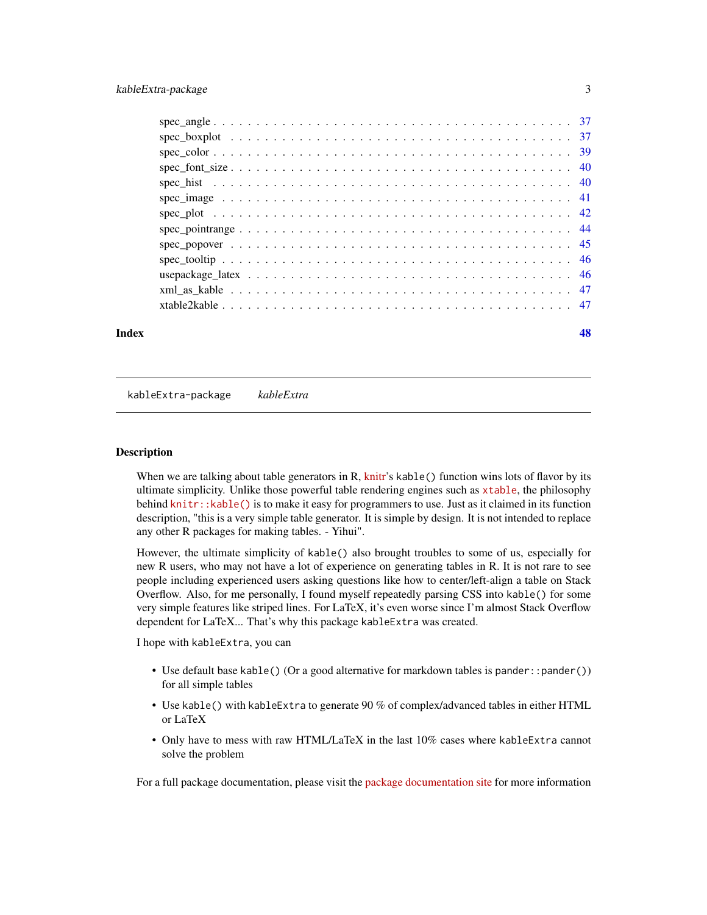### <span id="page-2-0"></span>kableExtra-package 3

| xml as kable $\ldots$ , $\ldots$ , $\ldots$ , $\ldots$ , $\ldots$ , $\ldots$ , $\ldots$ , $\ldots$ , $\ldots$ , $\ldots$ , $\ldots$ , $\frac{47}{2}$ |  |
|------------------------------------------------------------------------------------------------------------------------------------------------------|--|
|                                                                                                                                                      |  |
|                                                                                                                                                      |  |

### **Index a** set of the contract of the contract of the contract of the contract of the contract of the contract of the contract of the contract of the contract of the contract of the contract of the contract of the contrac

kableExtra-package *kableExtra*

#### Description

When we are talking about table generators in R,  $k$ nitr's kable() function wins lots of flavor by its ultimate simplicity. Unlike those powerful table rendering engines such as [xtable](https://CRAN.R-project.org/package=xtable), the philosophy behind [knitr::kable\(\)](https://rdrr.io/cran/knitr/man/kable.html) is to make it easy for programmers to use. Just as it claimed in its function description, "this is a very simple table generator. It is simple by design. It is not intended to replace any other R packages for making tables. - Yihui".

However, the ultimate simplicity of kable() also brought troubles to some of us, especially for new R users, who may not have a lot of experience on generating tables in R. It is not rare to see people including experienced users asking questions like how to center/left-align a table on Stack Overflow. Also, for me personally, I found myself repeatedly parsing CSS into kable() for some very simple features like striped lines. For LaTeX, it's even worse since I'm almost Stack Overflow dependent for LaTeX... That's why this package kableExtra was created.

I hope with kableExtra, you can

- Use default base kable() (Or a good alternative for markdown tables is pander: : pander()) for all simple tables
- Use kable() with kableExtra to generate 90 % of complex/advanced tables in either HTML or LaTeX
- Only have to mess with raw HTML/LaTeX in the last 10% cases where kableExtra cannot solve the problem

For a full package documentation, please visit the [package documentation site](https://haozhu233.github.io/kableExtra/) for more information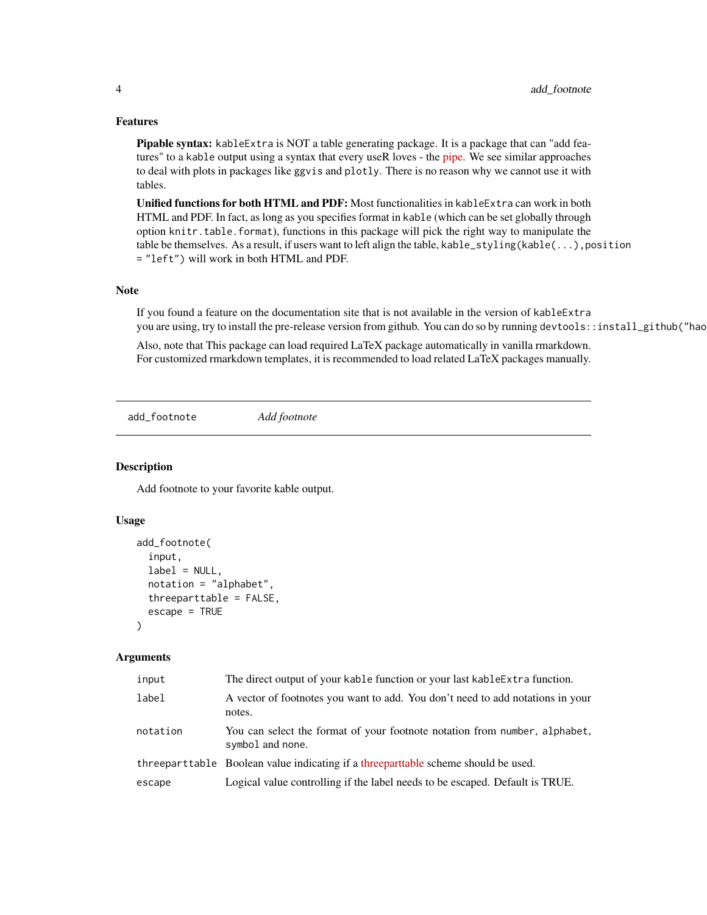### <span id="page-3-0"></span>Features

Pipable syntax: kableExtra is NOT a table generating package. It is a package that can "add features" to a kable output using a syntax that every useR loves - the [pipe.](https://r4ds.had.co.nz/pipes.html) We see similar approaches to deal with plots in packages like ggvis and plotly. There is no reason why we cannot use it with tables.

Unified functions for both HTML and PDF: Most functionalities in kableExtra can work in both HTML and PDF. In fact, as long as you specifies format in kable (which can be set globally through option knitr.table.format), functions in this package will pick the right way to manipulate the table be themselves. As a result, if users want to left align the table, kable\_styling(kable(...),position = "left") will work in both HTML and PDF.

#### Note

If you found a feature on the documentation site that is not available in the version of kableExtra you are using, try to install the pre-release version from github. You can do so by running devtools::install\_github("hao

Also, note that This package can load required LaTeX package automatically in vanilla rmarkdown. For customized rmarkdown templates, it is recommended to load related LaTeX packages manually.

add\_footnote *Add footnote*

#### Description

Add footnote to your favorite kable output.

### Usage

```
add_footnote(
  input,
  label = NULL,notation = "alphabet",
  threeparttable = FALSE,
  \text{escape} = \text{TRUE})
```

| input    | The direct output of your kable function or your last kable Extra function.                    |
|----------|------------------------------------------------------------------------------------------------|
| label    | A vector of footnotes you want to add. You don't need to add notations in your<br>notes.       |
| notation | You can select the format of your footnote notation from number, alphabet,<br>symbol and none. |
|          | threepart table Boolean value indicating if a threepart table scheme should be used.           |
| escape   | Logical value controlling if the label needs to be escaped. Default is TRUE.                   |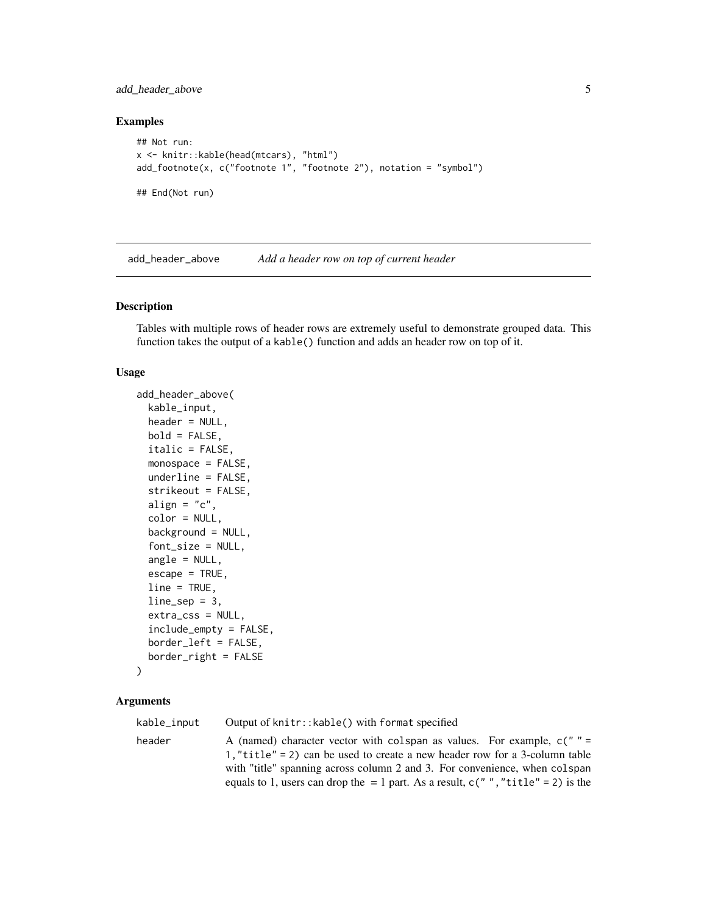### <span id="page-4-0"></span>add\_header\_above 5

### Examples

```
## Not run:
x <- knitr::kable(head(mtcars), "html")
add_footnote(x, c("footnote 1", "footnote 2"), notation = "symbol")
## End(Not run)
```
add\_header\_above *Add a header row on top of current header*

### Description

Tables with multiple rows of header rows are extremely useful to demonstrate grouped data. This function takes the output of a kable() function and adds an header row on top of it.

#### Usage

```
add_header_above(
  kable_input,
 header = NULL,
 bold = FALSE,italic = FALSE,
 monospace = FALSE,
 underline = FALSE,
  strikeout = FALSE,
 align = "c",color = NULL,
 background = NULL,
  font_size = NULL,
  angle = NULL,
 escape = TRUE,
 line = TRUE,
 line\_sep = 3,
  extra_css = NULL,
  include_empty = FALSE,
 border_left = FALSE,
 border_right = FALSE
)
```

| kable_input | Output of knitr:: kable() with format specified                                                                                                                                                                                                                                                                                |
|-------------|--------------------------------------------------------------------------------------------------------------------------------------------------------------------------------------------------------------------------------------------------------------------------------------------------------------------------------|
| header      | A (named) character vector with colspan as values. For example, $c'' = c''$<br>1, "title" = 2) can be used to create a new header row for a 3-column table<br>with "title" spanning across column 2 and 3. For convenience, when colspan<br>equals to 1, users can drop the $= 1$ part. As a result, c(",","title" = 2) is the |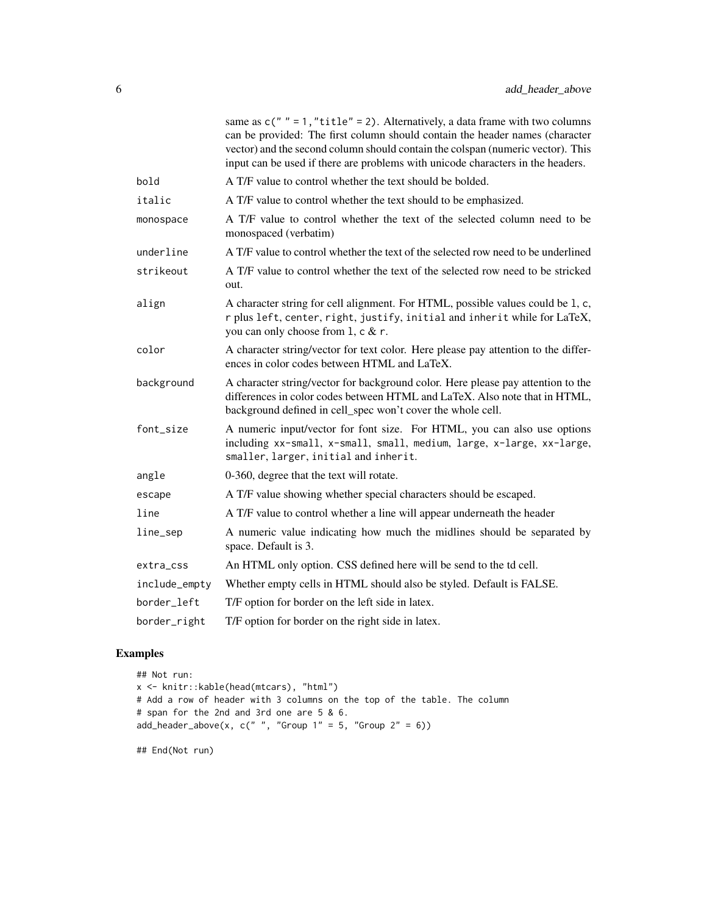|               | same as $c(" " = 1," title" = 2)$ . Alternatively, a data frame with two columns<br>can be provided: The first column should contain the header names (character<br>vector) and the second column should contain the colspan (numeric vector). This<br>input can be used if there are problems with unicode characters in the headers. |
|---------------|----------------------------------------------------------------------------------------------------------------------------------------------------------------------------------------------------------------------------------------------------------------------------------------------------------------------------------------|
| bold          | A T/F value to control whether the text should be bolded.                                                                                                                                                                                                                                                                              |
| italic        | A T/F value to control whether the text should to be emphasized.                                                                                                                                                                                                                                                                       |
| monospace     | A T/F value to control whether the text of the selected column need to be<br>monospaced (verbatim)                                                                                                                                                                                                                                     |
| underline     | A T/F value to control whether the text of the selected row need to be underlined                                                                                                                                                                                                                                                      |
| strikeout     | A T/F value to control whether the text of the selected row need to be stricked<br>out.                                                                                                                                                                                                                                                |
| align         | A character string for cell alignment. For HTML, possible values could be 1, c,<br>r plus left, center, right, justify, initial and inherit while for LaTeX,<br>you can only choose from 1, c & r.                                                                                                                                     |
| color         | A character string/vector for text color. Here please pay attention to the differ-<br>ences in color codes between HTML and LaTeX.                                                                                                                                                                                                     |
| background    | A character string/vector for background color. Here please pay attention to the<br>differences in color codes between HTML and LaTeX. Also note that in HTML,<br>background defined in cell_spec won't cover the whole cell.                                                                                                          |
| font_size     | A numeric input/vector for font size. For HTML, you can also use options<br>including xx-small, x-small, small, medium, large, x-large, xx-large,<br>smaller, larger, initial and inherit.                                                                                                                                             |
| angle         | 0-360, degree that the text will rotate.                                                                                                                                                                                                                                                                                               |
| escape        | A T/F value showing whether special characters should be escaped.                                                                                                                                                                                                                                                                      |
| line          | A T/F value to control whether a line will appear underneath the header                                                                                                                                                                                                                                                                |
| line_sep      | A numeric value indicating how much the midlines should be separated by<br>space. Default is 3.                                                                                                                                                                                                                                        |
| extra_css     | An HTML only option. CSS defined here will be send to the td cell.                                                                                                                                                                                                                                                                     |
| include_empty | Whether empty cells in HTML should also be styled. Default is FALSE.                                                                                                                                                                                                                                                                   |
| border_left   | T/F option for border on the left side in latex.                                                                                                                                                                                                                                                                                       |
| border_right  | T/F option for border on the right side in latex.                                                                                                                                                                                                                                                                                      |
|               |                                                                                                                                                                                                                                                                                                                                        |

### Examples

```
## Not run:
x <- knitr::kable(head(mtcars), "html")
# Add a row of header with 3 columns on the top of the table. The column
# span for the 2nd and 3rd one are 5 & 6.
add_header_above(x, c(" ", "Group 1" = 5, "Group 2" = 6))
```
## End(Not run)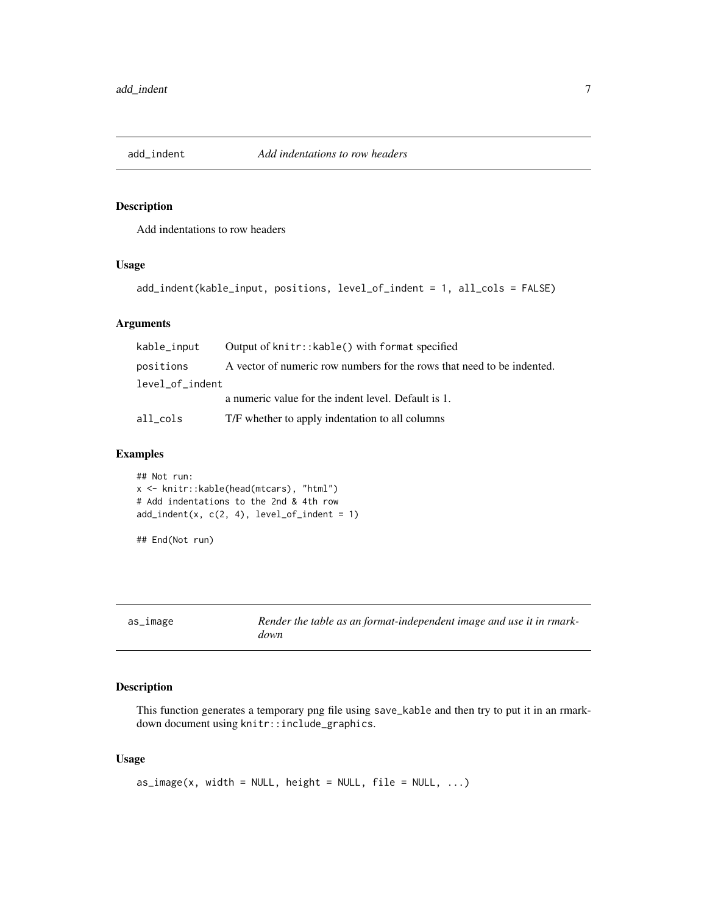<span id="page-6-0"></span>

### Description

Add indentations to row headers

### Usage

```
add_indent(kable_input, positions, level_of_indent = 1, all_cols = FALSE)
```
### Arguments

| kable_input     | Output of knitr:: kable() with format specified                        |
|-----------------|------------------------------------------------------------------------|
| positions       | A vector of numeric row numbers for the rows that need to be indented. |
| level_of_indent |                                                                        |
|                 | a numeric value for the indent level. Default is 1.                    |
| all cols        | T/F whether to apply indentation to all columns                        |

### Examples

```
## Not run:
x <- knitr::kable(head(mtcars), "html")
# Add indentations to the 2nd & 4th row
add\_indent(x, c(2, 4), level_of\_indent = 1)
```

```
## End(Not run)
```

| as_image | Render the table as an format-independent image and use it in rmark- |
|----------|----------------------------------------------------------------------|
|          | down                                                                 |

### Description

This function generates a temporary png file using save\_kable and then try to put it in an rmarkdown document using knitr::include\_graphics.

```
as\_image(x, width = NULL, height = NULL, file = NULL, ...)
```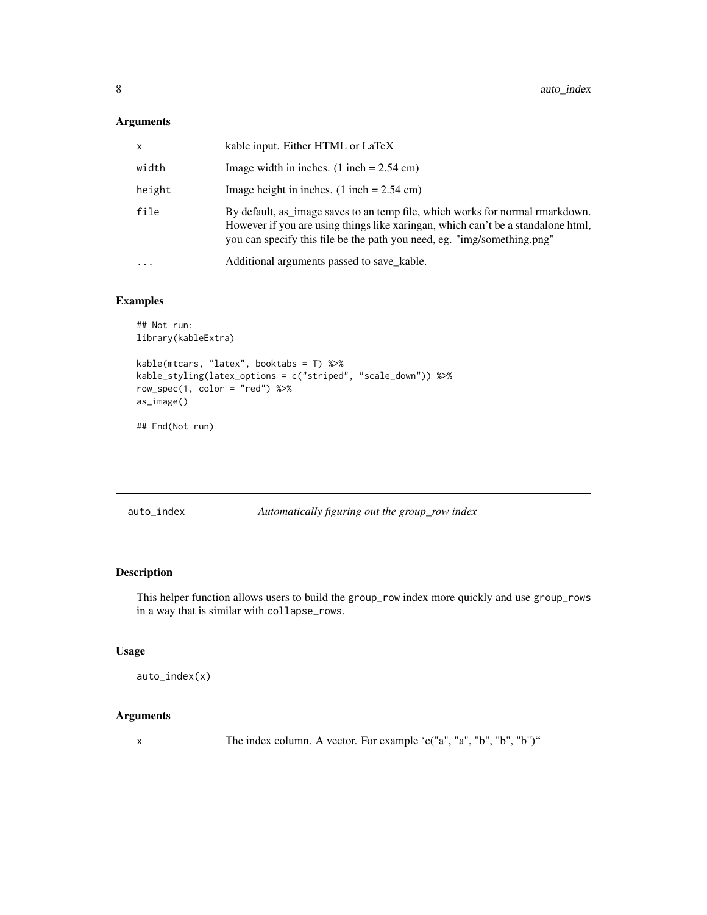### <span id="page-7-0"></span>Arguments

| x        | kable input. Either HTML or LaTeX                                                                                                                                                                                                            |
|----------|----------------------------------------------------------------------------------------------------------------------------------------------------------------------------------------------------------------------------------------------|
| width    | Image width in inches. $(1$ inch = 2.54 cm)                                                                                                                                                                                                  |
| height   | Image height in inches. $(1$ inch = 2.54 cm)                                                                                                                                                                                                 |
| file     | By default, as image saves to an temp file, which works for normal rmarkdown.<br>However if you are using things like xaringan, which can't be a standalone html,<br>you can specify this file be the path you need, eg. "img/something.png" |
| $\ddots$ | Additional arguments passed to save kable.                                                                                                                                                                                                   |

### Examples

```
## Not run:
library(kableExtra)
kable(mtcars, "latex", booktabs = T) %>%
kable_styling(latex_options = c("striped", "scale_down")) %>%
row\_spec(1, color = "red") %>%
as_image()
```
## End(Not run)

auto\_index *Automatically figuring out the group\_row index*

### Description

This helper function allows users to build the group\_row index more quickly and use group\_rows in a way that is similar with collapse\_rows.

### Usage

auto\_index(x)

### Arguments

x The index column. A vector. For example 'c("a", "a", "b", "b", "b")"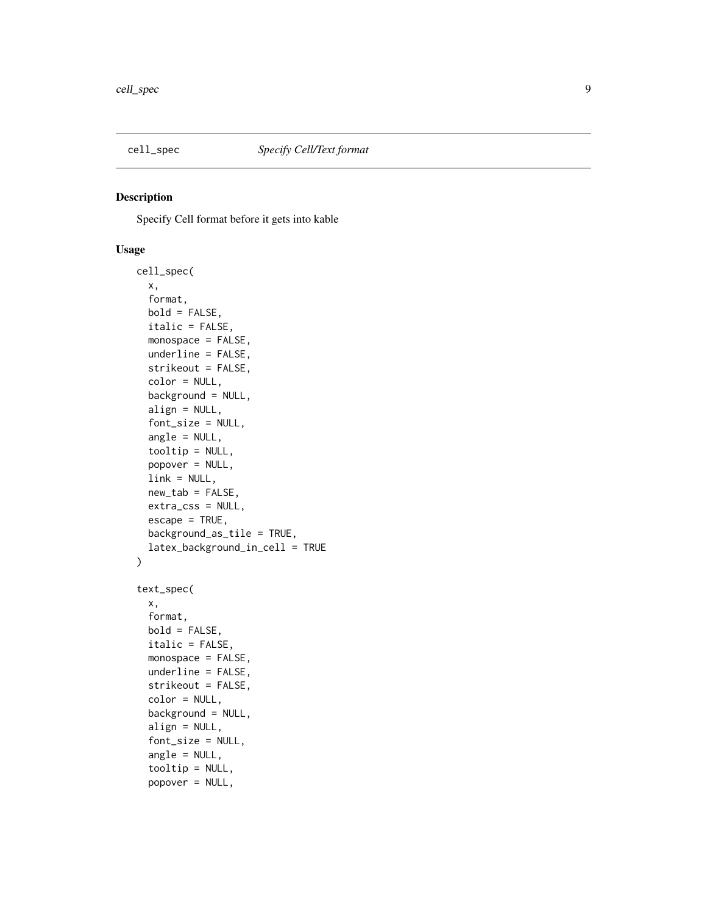<span id="page-8-0"></span>

### Description

Specify Cell format before it gets into kable

```
cell_spec(
  x,
  format,
 bold = FALSE,
  italic = FALSE,
  monospace = FALSE,
  underline = FALSE,
  strikeout = FALSE,
  color = NULL,
  background = NULL,
  align = NULL,
  font_size = NULL,
  angle = NULL,
  tooltip = NULL,
  popover = NULL,
  link = NULL,new_table = FALSE,extra_css = NULL,
  \text{escape} = \text{TRUE},
  background_as_tile = TRUE,
  latex_background_in_cell = TRUE
)
text_spec(
  x,
  format,
 bold = FALSE,
  italic = FALSE,
  monospace = FALSE,
  underline = FALSE,
  strikeout = FALSE,
  color = NULL,
  background = NULL,
  align = NULL,
  font_size = NULL,
  angle = NULL,
  tooltip = NULL,
  popover = NULL,
```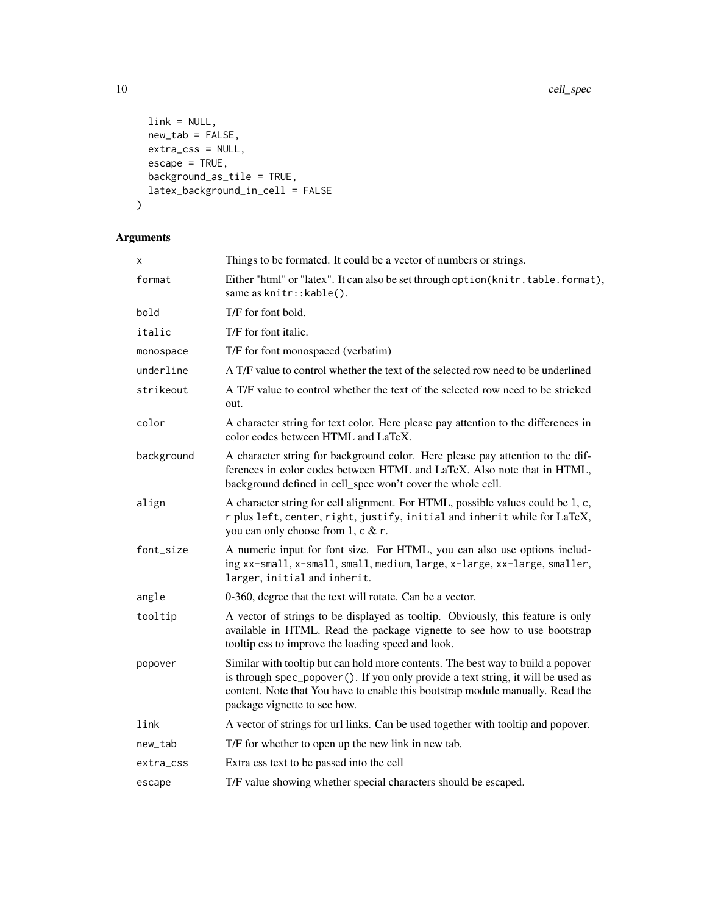```
link = NULL,new_tab = FALSE,
 extra\_css = NULL,\text{escape} = \text{TRUE},
 background_as_tile = TRUE,
  latex_background_in_cell = FALSE
\mathcal{L}
```

| X          | Things to be formated. It could be a vector of numbers or strings.                                                                                                                                                                                                                      |
|------------|-----------------------------------------------------------------------------------------------------------------------------------------------------------------------------------------------------------------------------------------------------------------------------------------|
| format     | Either "html" or "latex". It can also be set through option (knitr.table.format),<br>same as knitr:: kable().                                                                                                                                                                           |
| bold       | T/F for font bold.                                                                                                                                                                                                                                                                      |
| italic     | T/F for font italic.                                                                                                                                                                                                                                                                    |
| monospace  | T/F for font monospaced (verbatim)                                                                                                                                                                                                                                                      |
| underline  | A T/F value to control whether the text of the selected row need to be underlined                                                                                                                                                                                                       |
| strikeout  | A T/F value to control whether the text of the selected row need to be stricked<br>out.                                                                                                                                                                                                 |
| color      | A character string for text color. Here please pay attention to the differences in<br>color codes between HTML and LaTeX.                                                                                                                                                               |
| background | A character string for background color. Here please pay attention to the dif-<br>ferences in color codes between HTML and LaTeX. Also note that in HTML,<br>background defined in cell_spec won't cover the whole cell.                                                                |
| align      | A character string for cell alignment. For HTML, possible values could be 1, c,<br>r plus left, center, right, justify, initial and inherit while for LaTeX,<br>you can only choose from 1, c & r.                                                                                      |
| font_size  | A numeric input for font size. For HTML, you can also use options includ-<br>ing xx-small, x-small, small, medium, large, x-large, xx-large, smaller,<br>larger, initial and inherit.                                                                                                   |
| angle      | 0-360, degree that the text will rotate. Can be a vector.                                                                                                                                                                                                                               |
| tooltip    | A vector of strings to be displayed as tooltip. Obviously, this feature is only<br>available in HTML. Read the package vignette to see how to use bootstrap<br>tooltip css to improve the loading speed and look.                                                                       |
| popover    | Similar with tooltip but can hold more contents. The best way to build a popover<br>is through spec_popover (). If you only provide a text string, it will be used as<br>content. Note that You have to enable this bootstrap module manually. Read the<br>package vignette to see how. |
| link       | A vector of strings for url links. Can be used together with tooltip and popover.                                                                                                                                                                                                       |
| new_tab    | T/F for whether to open up the new link in new tab.                                                                                                                                                                                                                                     |
| extra_css  | Extra css text to be passed into the cell                                                                                                                                                                                                                                               |
| escape     | T/F value showing whether special characters should be escaped.                                                                                                                                                                                                                         |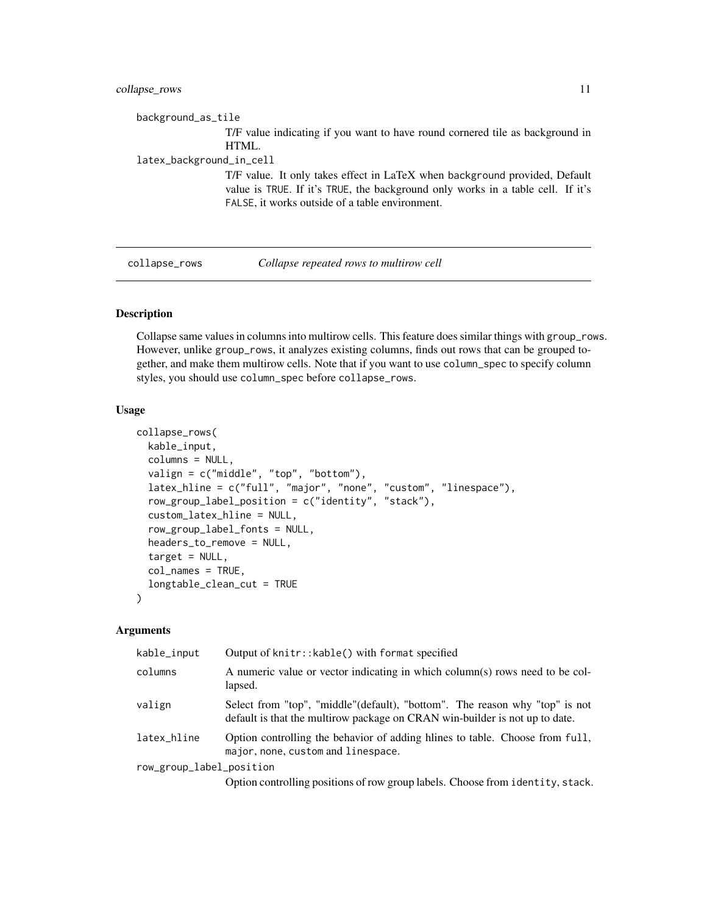### <span id="page-10-0"></span>collapse\_rows 11

background\_as\_tile T/F value indicating if you want to have round cornered tile as background in HTML. latex\_background\_in\_cell T/F value. It only takes effect in LaTeX when background provided, Default value is TRUE. If it's TRUE, the background only works in a table cell. If it's FALSE, it works outside of a table environment.

collapse\_rows *Collapse repeated rows to multirow cell*

### Description

Collapse same values in columns into multirow cells. This feature does similar things with group\_rows. However, unlike group\_rows, it analyzes existing columns, finds out rows that can be grouped together, and make them multirow cells. Note that if you want to use column\_spec to specify column styles, you should use column\_spec before collapse\_rows.

#### Usage

```
collapse_rows(
  kable_input,
  columns = NULL,
  valign = c("middle", "top", "bottom"),
  latex_hline = c("full", "major", "none", "custom", "linespace"),
  row_group_label_position = c("identity", "stack"),
  custom_latex_hline = NULL,
  row_group_label_fonts = NULL,
  headers_to_remove = NULL,
  target = NULL,col_names = TRUE,
  longtable_clean_cut = TRUE
\lambda
```

| kable_input              | Output of knitr:: kable() with format specified                                                                                                            |
|--------------------------|------------------------------------------------------------------------------------------------------------------------------------------------------------|
| columns                  | A numeric value or vector indicating in which column(s) rows need to be col-<br>lapsed.                                                                    |
| valign                   | Select from "top", "middle"(default), "bottom". The reason why "top" is not<br>default is that the multirow package on CRAN win-builder is not up to date. |
| latex_hline              | Option controlling the behavior of adding hilnes to table. Choose from full,<br>major, none, custom and linespace.                                         |
| row_group_label_position |                                                                                                                                                            |
|                          | Option controlling positions of row group labels. Choose from identity, stack.                                                                             |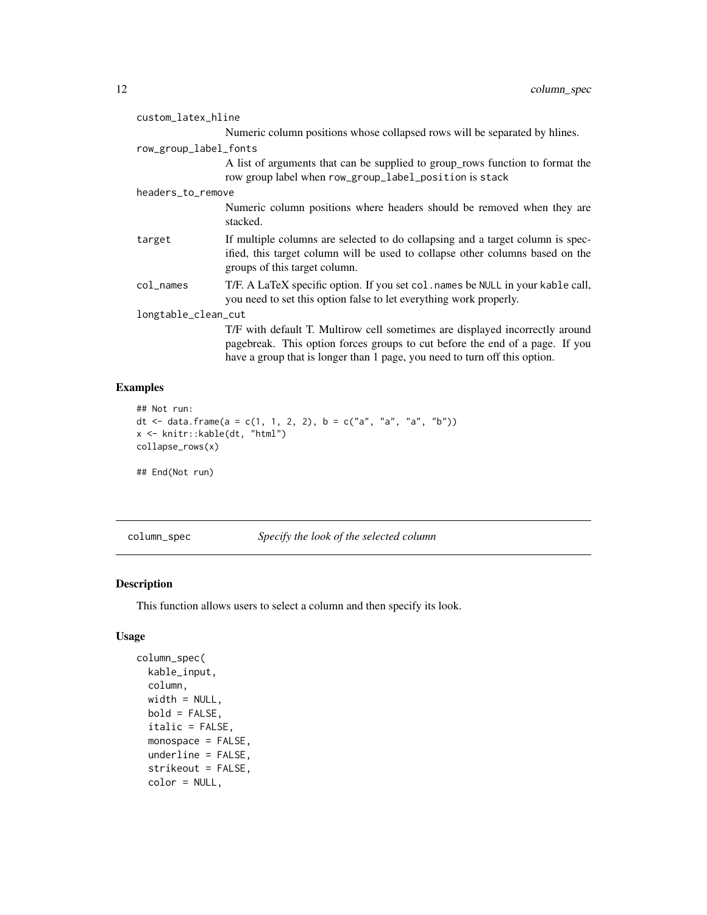<span id="page-11-0"></span>

| custom_latex_hline    |                                                                                                                                                                                                                                            |
|-----------------------|--------------------------------------------------------------------------------------------------------------------------------------------------------------------------------------------------------------------------------------------|
|                       | Numeric column positions whose collapsed rows will be separated by hlines.                                                                                                                                                                 |
| row_group_label_fonts |                                                                                                                                                                                                                                            |
|                       | A list of arguments that can be supplied to group rows function to format the<br>row group label when row_group_label_position is stack                                                                                                    |
| headers_to_remove     |                                                                                                                                                                                                                                            |
|                       | Numeric column positions where headers should be removed when they are<br>stacked.                                                                                                                                                         |
| target                | If multiple columns are selected to do collapsing and a target column is spec-<br>ified, this target column will be used to collapse other columns based on the<br>groups of this target column.                                           |
| col_names             | T/F. A LaTeX specific option. If you set col. names be NULL in your kable call,<br>you need to set this option false to let everything work properly.                                                                                      |
| longtable_clean_cut   |                                                                                                                                                                                                                                            |
|                       | T/F with default T. Multirow cell sometimes are displayed incorrectly around<br>pagebreak. This option forces groups to cut before the end of a page. If you<br>have a group that is longer than 1 page, you need to turn off this option. |

### Examples

```
## Not run:
dt <- data.frame(a = c(1, 1, 2, 2), b = c("a", "a", "a", "b"))
x <- knitr::kable(dt, "html")
collapse_rows(x)
## End(Not run)
```
column\_spec *Specify the look of the selected column*

### Description

This function allows users to select a column and then specify its look.

```
column_spec(
 kable_input,
 column,
 width = NULL,
 bold = FALSE,italic = FALSE,
 monospace = FALSE,
 underline = FALSE,
  strikeout = FALSE,
 color = NULL,
```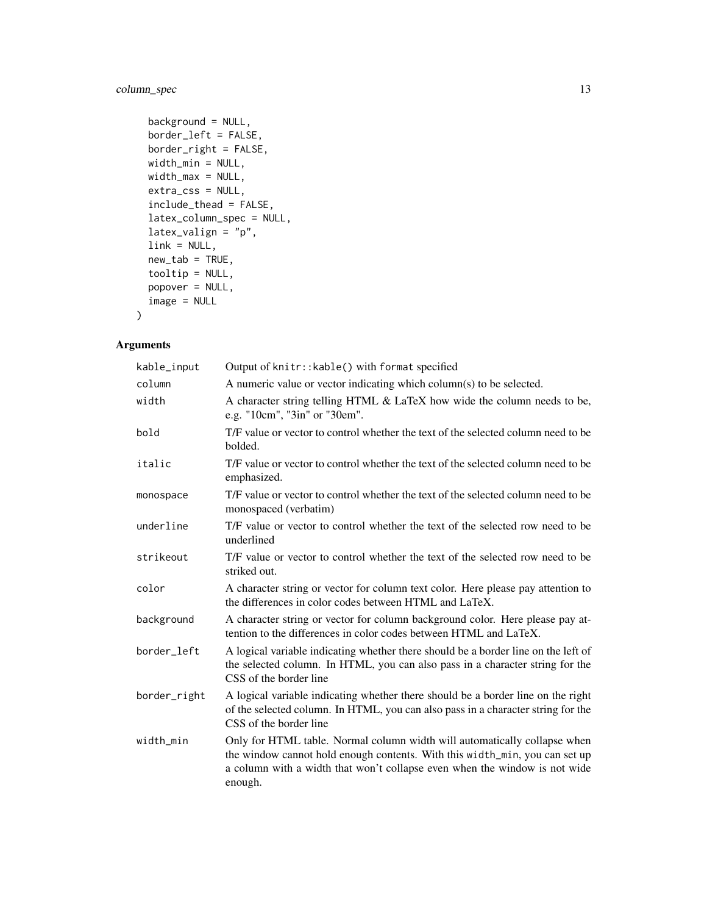### column\_spec 13

```
background = NULL,
border_left = FALSE,
border_right = FALSE,
width_min = NULL,
width_max = NULL,
extra_css = NULL,
include_thead = FALSE,
latex_column_spec = NULL,
latex_valign = "p",
link = NULL,
new_table = TRUE,tooltip = NULL,
popover = NULL,
image = NULL
```
### Arguments

 $\mathcal{L}$ 

| kable_input  | Output of knitr:: kable() with format specified                                                                                                                                                                                                   |
|--------------|---------------------------------------------------------------------------------------------------------------------------------------------------------------------------------------------------------------------------------------------------|
| column       | A numeric value or vector indicating which column(s) to be selected.                                                                                                                                                                              |
| width        | A character string telling HTML & LaTeX how wide the column needs to be,<br>e.g. "10cm", "3in" or "30em".                                                                                                                                         |
| bold         | T/F value or vector to control whether the text of the selected column need to be<br>bolded.                                                                                                                                                      |
| italic       | T/F value or vector to control whether the text of the selected column need to be<br>emphasized.                                                                                                                                                  |
| monospace    | T/F value or vector to control whether the text of the selected column need to be<br>monospaced (verbatim)                                                                                                                                        |
| underline    | T/F value or vector to control whether the text of the selected row need to be<br>underlined                                                                                                                                                      |
| strikeout    | T/F value or vector to control whether the text of the selected row need to be<br>striked out.                                                                                                                                                    |
| color        | A character string or vector for column text color. Here please pay attention to<br>the differences in color codes between HTML and LaTeX.                                                                                                        |
| background   | A character string or vector for column background color. Here please pay at-<br>tention to the differences in color codes between HTML and LaTeX.                                                                                                |
| border_left  | A logical variable indicating whether there should be a border line on the left of<br>the selected column. In HTML, you can also pass in a character string for the<br>CSS of the border line                                                     |
| border_right | A logical variable indicating whether there should be a border line on the right<br>of the selected column. In HTML, you can also pass in a character string for the<br>CSS of the border line                                                    |
| width_min    | Only for HTML table. Normal column width will automatically collapse when<br>the window cannot hold enough contents. With this width_min, you can set up<br>a column with a width that won't collapse even when the window is not wide<br>enough. |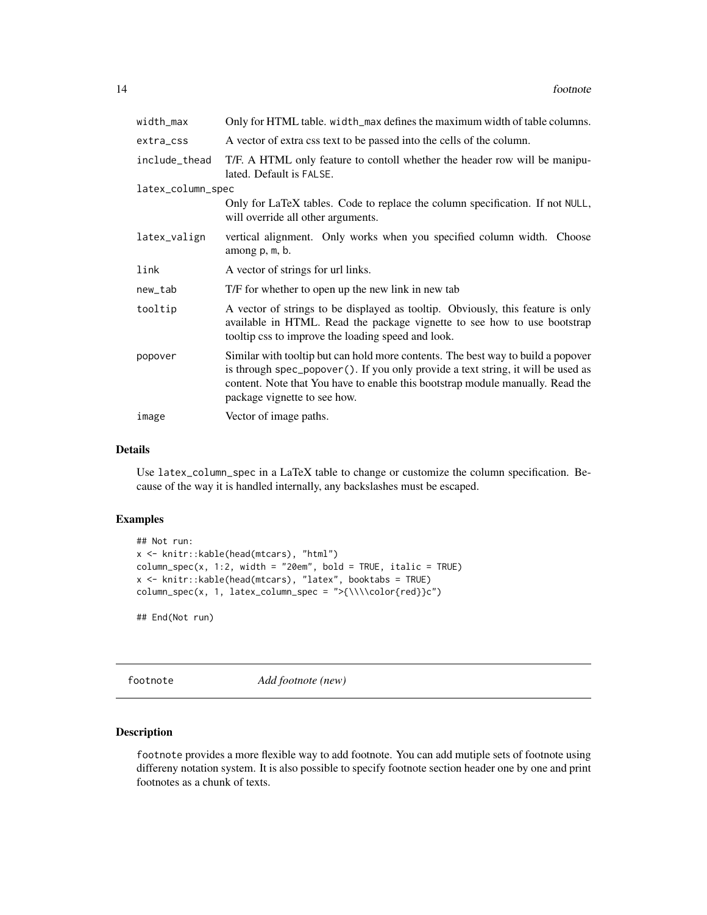<span id="page-13-0"></span>

| width_max         | Only for HTML table. width_max defines the maximum width of table columns.                                                                                                                                                                                                             |
|-------------------|----------------------------------------------------------------------------------------------------------------------------------------------------------------------------------------------------------------------------------------------------------------------------------------|
| extra_css         | A vector of extra css text to be passed into the cells of the column.                                                                                                                                                                                                                  |
| include_thead     | T/F. A HTML only feature to contoll whether the header row will be manipu-<br>lated. Default is FALSE.                                                                                                                                                                                 |
| latex_column_spec |                                                                                                                                                                                                                                                                                        |
|                   | Only for LaTeX tables. Code to replace the column specification. If not NULL,<br>will override all other arguments.                                                                                                                                                                    |
| latex_valign      | vertical alignment. Only works when you specified column width. Choose<br>among p, m, b.                                                                                                                                                                                               |
| link              | A vector of strings for url links.                                                                                                                                                                                                                                                     |
| new_tab           | T/F for whether to open up the new link in new tab                                                                                                                                                                                                                                     |
| tooltip           | A vector of strings to be displayed as tooltip. Obviously, this feature is only<br>available in HTML. Read the package vignette to see how to use bootstrap<br>tooltip css to improve the loading speed and look.                                                                      |
| popover           | Similar with tooltip but can hold more contents. The best way to build a popover<br>is through spec_popover(). If you only provide a text string, it will be used as<br>content. Note that You have to enable this bootstrap module manually. Read the<br>package vignette to see how. |
| image             | Vector of image paths.                                                                                                                                                                                                                                                                 |

#### Details

Use latex\_column\_spec in a LaTeX table to change or customize the column specification. Because of the way it is handled internally, any backslashes must be escaped.

### Examples

```
## Not run:
x <- knitr::kable(head(mtcars), "html")
column\_spec(x, 1:2, width = "20em", bold = TRUE, italic = TRUE)x <- knitr::kable(head(mtcars), "latex", booktabs = TRUE)
column_spec(x, 1, latex_column_spec = ">{\\\\color{red}}c")
```
## End(Not run)

footnote *Add footnote (new)*

### Description

footnote provides a more flexible way to add footnote. You can add mutiple sets of footnote using differeny notation system. It is also possible to specify footnote section header one by one and print footnotes as a chunk of texts.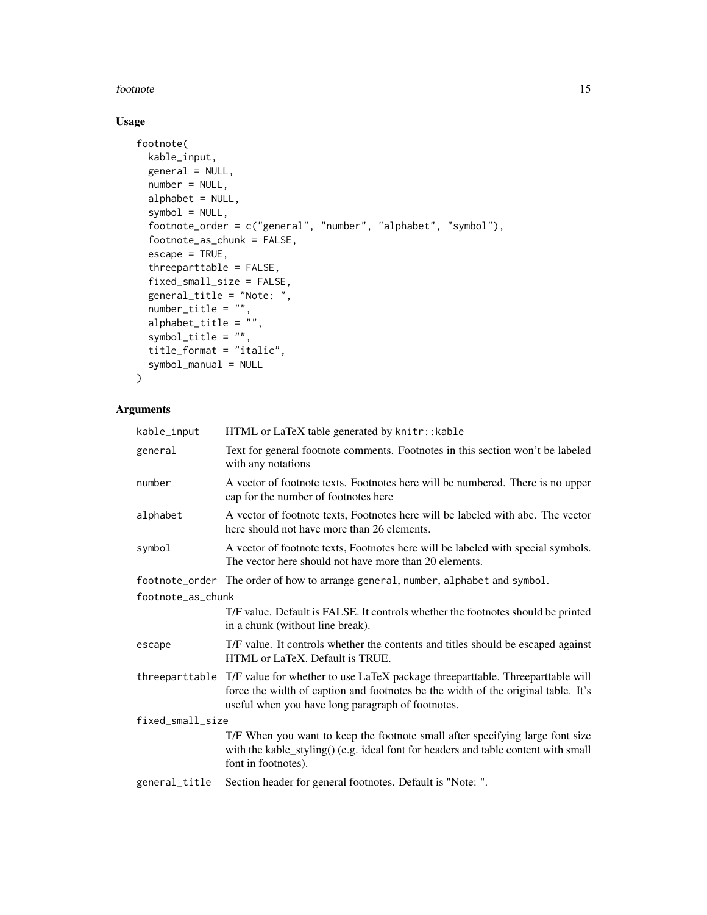#### footnote the state of the state of the state of the state of the state of the state of the state of the state of the state of the state of the state of the state of the state of the state of the state of the state of the s

### Usage

```
footnote(
 kable_input,
  general = NULL,
 number = NULL,
  alphabet = NULL,
  symbol = NULL,
  footnote_order = c("general", "number", "alphabet", "symbol"),
  footnote_as_chunk = FALSE,
  escape = TRUE,
  threeparttable = FALSE,
  fixed_small_size = FALSE,
  general_title = "Note: ",
 number_title = "",
  alphabet_title = "",
  symbol_title = "",
  title_format = "italic",
  symbol_manual = NULL
\mathcal{L}
```

| kable_input       | HTML or LaTeX table generated by knitr:: kable                                                                                                                                                                                          |  |
|-------------------|-----------------------------------------------------------------------------------------------------------------------------------------------------------------------------------------------------------------------------------------|--|
| general           | Text for general footnote comments. Footnotes in this section won't be labeled<br>with any notations                                                                                                                                    |  |
| number            | A vector of footnote texts. Footnotes here will be numbered. There is no upper<br>cap for the number of footnotes here                                                                                                                  |  |
| alphabet          | A vector of footnote texts, Footnotes here will be labeled with abc. The vector<br>here should not have more than 26 elements.                                                                                                          |  |
| symbol            | A vector of footnote texts, Footnotes here will be labeled with special symbols.<br>The vector here should not have more than 20 elements.                                                                                              |  |
|                   | footnote_order The order of how to arrange general, number, alphabet and symbol.                                                                                                                                                        |  |
| footnote_as_chunk |                                                                                                                                                                                                                                         |  |
|                   | T/F value. Default is FALSE. It controls whether the footnotes should be printed<br>in a chunk (without line break).                                                                                                                    |  |
| escape            | T/F value. It controls whether the contents and titles should be escaped against<br>HTML or LaTeX. Default is TRUE.                                                                                                                     |  |
|                   | threeparttable T/F value for whether to use LaTeX package threeparttable. Threeparttable will<br>force the width of caption and footnotes be the width of the original table. It's<br>useful when you have long paragraph of footnotes. |  |
| fixed_small_size  |                                                                                                                                                                                                                                         |  |
|                   | T/F When you want to keep the footnote small after specifying large font size<br>with the kable_styling() (e.g. ideal font for headers and table content with small<br>font in footnotes).                                              |  |
| general_title     | Section header for general footnotes. Default is "Note: ".                                                                                                                                                                              |  |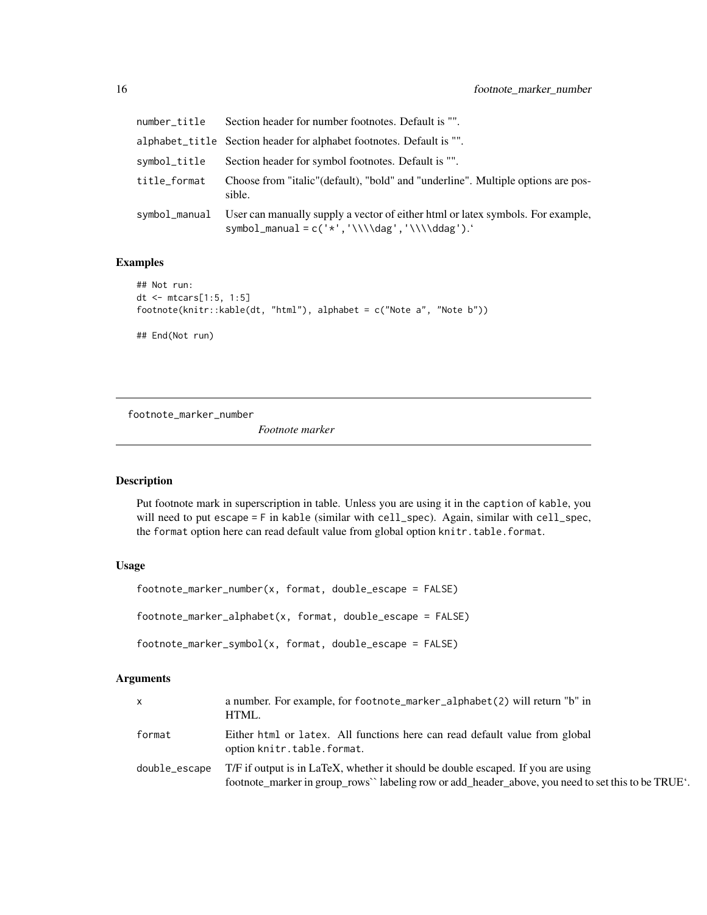<span id="page-15-0"></span>

| number_title  | Section header for number footnotes. Default is "".                                                                                   |
|---------------|---------------------------------------------------------------------------------------------------------------------------------------|
|               | alphabet_title Section header for alphabet footnotes. Default is "".                                                                  |
| symbol_title  | Section header for symbol footnotes. Default is "".                                                                                   |
| title_format  | Choose from "italic" (default), "bold" and "underline". Multiple options are pos-<br>sible.                                           |
| symbol_manual | User can manually supply a vector of either html or latex symbols. For example,<br>symbol_manual = $c('*/', '\\ldag', '\\l\\ddag').'$ |

### Examples

```
## Not run:
dt <- mtcars[1:5, 1:5]
footnote(knitr::kable(dt, "html"), alphabet = c("Note a", "Note b"))
## End(Not run)
```
footnote\_marker\_number

*Footnote marker*

### Description

Put footnote mark in superscription in table. Unless you are using it in the caption of kable, you will need to put escape = F in kable (similar with cell\_spec). Again, similar with cell\_spec, the format option here can read default value from global option knitr.table.format.

### Usage

```
footnote_marker_number(x, format, double_escape = FALSE)
footnote_marker_alphabet(x, format, double_escape = FALSE)
footnote_marker_symbol(x, format, double_escape = FALSE)
```

| <b>X</b>      | a number. For example, for footnote_marker_alphabet(2) will return "b" in<br>HTML.                                                                                                     |
|---------------|----------------------------------------------------------------------------------------------------------------------------------------------------------------------------------------|
| format        | Either html or latex. All functions here can read default value from global<br>option knitr.table.format.                                                                              |
| double_escape | T/F if output is in LaTeX, whether it should be double escaped. If you are using<br>footnote_marker in group_rows' labeling row or add_header_above, you need to set this to be TRUE'. |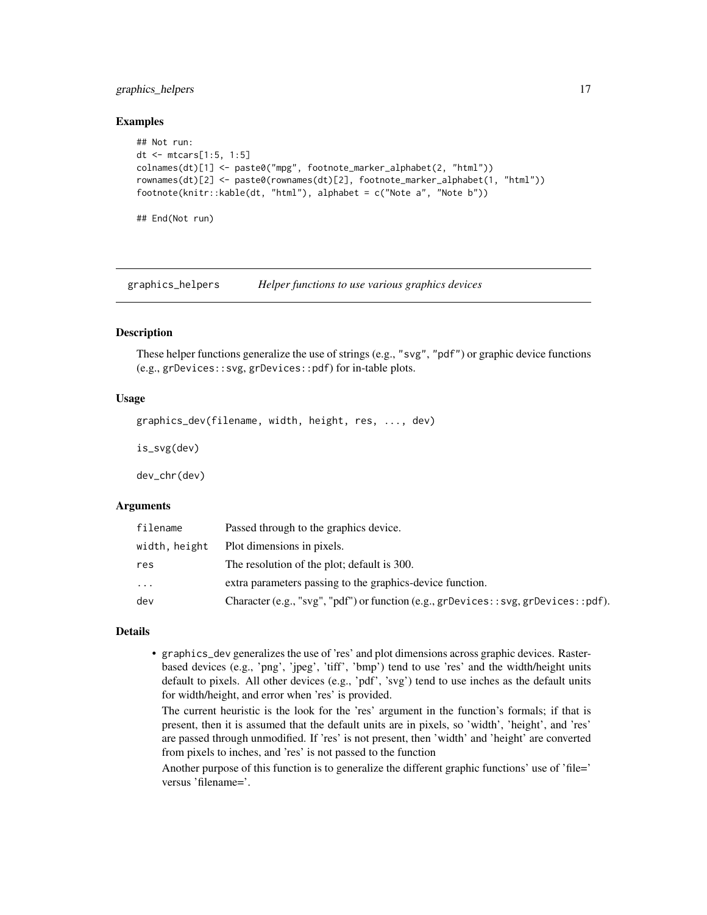### <span id="page-16-0"></span>graphics\_helpers 17

### Examples

```
## Not run:
dt <- mtcars[1:5, 1:5]
colnames(dt)[1] <- paste0("mpg", footnote_marker_alphabet(2, "html"))
rownames(dt)[2] <- paste0(rownames(dt)[2], footnote_marker_alphabet(1, "html"))
footnote(knitr::kable(dt, "html"), alphabet = c("Note a", "Note b"))
## End(Not run)
```
graphics\_helpers *Helper functions to use various graphics devices*

### **Description**

These helper functions generalize the use of strings (e.g., "svg", "pdf") or graphic device functions (e.g., grDevices::svg, grDevices::pdf) for in-table plots.

### Usage

graphics\_dev(filename, width, height, res, ..., dev)

is\_svg(dev)

dev\_chr(dev)

#### Arguments

| filename      | Passed through to the graphics device.                                                 |
|---------------|----------------------------------------------------------------------------------------|
| width, height | Plot dimensions in pixels.                                                             |
| res           | The resolution of the plot; default is 300.                                            |
| $\cdot$       | extra parameters passing to the graphics-device function.                              |
| dev           | Character (e.g., "svg", "pdf") or function (e.g., grDevices: : svg, grDevices: : pdf). |

#### Details

• graphics\_dev generalizes the use of 'res' and plot dimensions across graphic devices. Rasterbased devices (e.g., 'png', 'jpeg', 'tiff', 'bmp') tend to use 'res' and the width/height units default to pixels. All other devices (e.g., 'pdf', 'svg') tend to use inches as the default units for width/height, and error when 'res' is provided.

The current heuristic is the look for the 'res' argument in the function's formals; if that is present, then it is assumed that the default units are in pixels, so 'width', 'height', and 'res' are passed through unmodified. If 'res' is not present, then 'width' and 'height' are converted from pixels to inches, and 'res' is not passed to the function

Another purpose of this function is to generalize the different graphic functions' use of 'file=' versus 'filename='.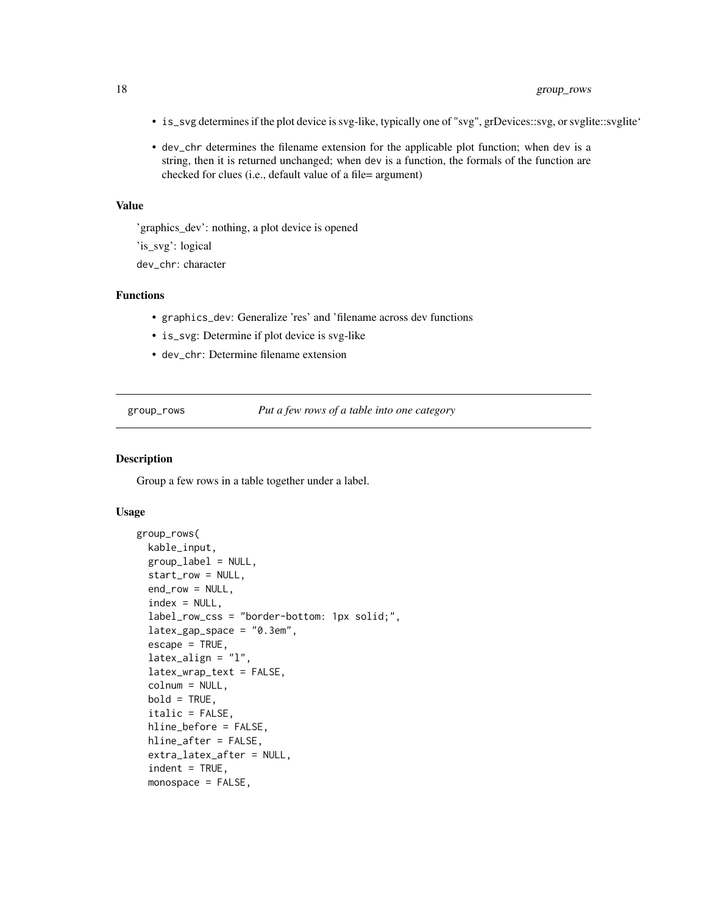- <span id="page-17-0"></span>• is\_svg determines if the plot device is svg-like, typically one of "svg", grDevices::svg, or svglite::svglite'
- dev\_chr determines the filename extension for the applicable plot function; when dev is a string, then it is returned unchanged; when dev is a function, the formals of the function are checked for clues (i.e., default value of a file= argument)

### Value

'graphics\_dev': nothing, a plot device is opened

'is\_svg': logical

dev\_chr: character

#### Functions

- graphics\_dev: Generalize 'res' and 'filename across dev functions
- is\_svg: Determine if plot device is svg-like
- dev\_chr: Determine filename extension

group\_rows *Put a few rows of a table into one category*

### Description

Group a few rows in a table together under a label.

```
group_rows(
 kable_input,
  group_label = NULL,
  start_row = NULL,
  end_row = NULL,
  index = NULL,label_row_css = "border-bottom: 1px solid;",
  lates\_gap\_space = "0.3em",\text{escape} = \text{TRUE},
  latex_align = "l",
  latex_wrap_text = FALSE,
  colnum = NULL,
 bold = TRUE,italic = FALSE,
  hline_before = FALSE,
 hline_after = FALSE,
  extra_latex_after = NULL,
  indent = TRUE,monospace = FALSE,
```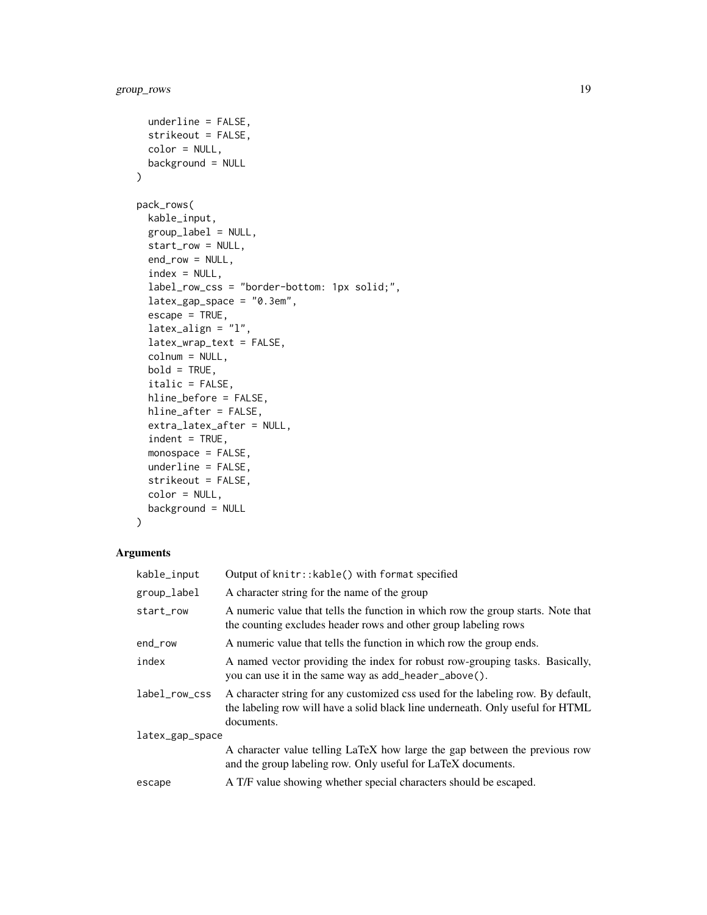```
underline = FALSE,
  strikeout = FALSE,
 color = NULL,
 background = NULL
\mathcal{L}pack_rows(
 kable_input,
  group_label = NULL,
  start_row = NULL,
  end_row = NULL,
  index = NULL,label_row_css = "border-bottom: 1px solid;",
  lates\_gap\_space = "0.3em",escape = TRUE,
  latex_align = "l",
  latex_wrap_text = FALSE,
  colnum = NULL,
 bold = TRUE,italic = FALSE,
 hline_before = FALSE,
 hline_after = FALSE,
  extra_latex_after = NULL,
  indent = TRUE,monospace = FALSE,
 underline = FALSE,
  strikeout = FALSE,
  color = NULL,
 background = NULL
\mathcal{L}
```

| A character string for the name of the group<br>the counting excludes header rows and other group labeling rows<br>A numeric value that tells the function in which row the group ends.<br>A named vector providing the index for robust row-grouping tasks. Basically,<br>you can use it in the same way as add_header_above().<br>A character string for any customized css used for the labeling row. By default,<br>the labeling row will have a solid black line underneath. Only useful for HTML<br>documents.<br>latex_gap_space<br>A character value telling LaTeX how large the gap between the previous row<br>and the group labeling row. Only useful for LaTeX documents.<br>A T/F value showing whether special characters should be escaped. | kable_input   | Output of knitr:: kable() with format specified                                  |  |
|------------------------------------------------------------------------------------------------------------------------------------------------------------------------------------------------------------------------------------------------------------------------------------------------------------------------------------------------------------------------------------------------------------------------------------------------------------------------------------------------------------------------------------------------------------------------------------------------------------------------------------------------------------------------------------------------------------------------------------------------------------|---------------|----------------------------------------------------------------------------------|--|
|                                                                                                                                                                                                                                                                                                                                                                                                                                                                                                                                                                                                                                                                                                                                                            | group_label   |                                                                                  |  |
|                                                                                                                                                                                                                                                                                                                                                                                                                                                                                                                                                                                                                                                                                                                                                            | start_row     | A numeric value that tells the function in which row the group starts. Note that |  |
|                                                                                                                                                                                                                                                                                                                                                                                                                                                                                                                                                                                                                                                                                                                                                            | end_row       |                                                                                  |  |
|                                                                                                                                                                                                                                                                                                                                                                                                                                                                                                                                                                                                                                                                                                                                                            | index         |                                                                                  |  |
|                                                                                                                                                                                                                                                                                                                                                                                                                                                                                                                                                                                                                                                                                                                                                            | label_row_css |                                                                                  |  |
|                                                                                                                                                                                                                                                                                                                                                                                                                                                                                                                                                                                                                                                                                                                                                            |               |                                                                                  |  |
|                                                                                                                                                                                                                                                                                                                                                                                                                                                                                                                                                                                                                                                                                                                                                            |               |                                                                                  |  |
|                                                                                                                                                                                                                                                                                                                                                                                                                                                                                                                                                                                                                                                                                                                                                            | escape        |                                                                                  |  |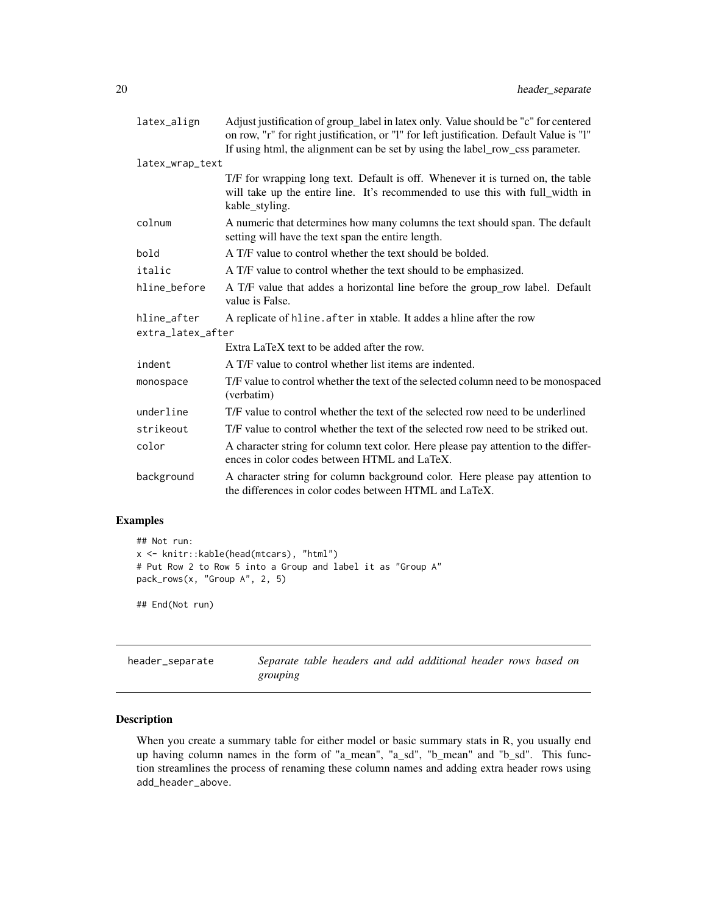<span id="page-19-0"></span>

| latex_align       | Adjust justification of group_label in latex only. Value should be "c" for centered<br>on row, "r" for right justification, or "l" for left justification. Default Value is "l"<br>If using html, the alignment can be set by using the label_row_css parameter. |
|-------------------|------------------------------------------------------------------------------------------------------------------------------------------------------------------------------------------------------------------------------------------------------------------|
| latex_wrap_text   |                                                                                                                                                                                                                                                                  |
|                   | T/F for wrapping long text. Default is off. Whenever it is turned on, the table<br>will take up the entire line. It's recommended to use this with full_width in<br>kable_styling.                                                                               |
| colnum            | A numeric that determines how many columns the text should span. The default<br>setting will have the text span the entire length.                                                                                                                               |
| bold              | A T/F value to control whether the text should be bolded.                                                                                                                                                                                                        |
| italic            | A T/F value to control whether the text should to be emphasized.                                                                                                                                                                                                 |
| hline_before      | A T/F value that addes a horizontal line before the group_row label. Default<br>value is False.                                                                                                                                                                  |
| hline_after       | A replicate of hline. after in xtable. It addes a hline after the row                                                                                                                                                                                            |
| extra_latex_after |                                                                                                                                                                                                                                                                  |
|                   | Extra LaTeX text to be added after the row.                                                                                                                                                                                                                      |
| indent            | A T/F value to control whether list items are indented.                                                                                                                                                                                                          |
| monospace         | T/F value to control whether the text of the selected column need to be monospaced<br>(verbatim)                                                                                                                                                                 |
| underline         | T/F value to control whether the text of the selected row need to be underlined                                                                                                                                                                                  |
| strikeout         | T/F value to control whether the text of the selected row need to be striked out.                                                                                                                                                                                |
| color             | A character string for column text color. Here please pay attention to the differ-<br>ences in color codes between HTML and LaTeX.                                                                                                                               |
| background        | A character string for column background color. Here please pay attention to<br>the differences in color codes between HTML and LaTeX.                                                                                                                           |

### Examples

```
## Not run:
x <- knitr::kable(head(mtcars), "html")
# Put Row 2 to Row 5 into a Group and label it as "Group A"
pack_rows(x, "Group A", 2, 5)
```
## End(Not run)

header\_separate *Separate table headers and add additional header rows based on grouping*

### Description

When you create a summary table for either model or basic summary stats in R, you usually end up having column names in the form of "a\_mean", "a\_sd", "b\_mean" and "b\_sd". This function streamlines the process of renaming these column names and adding extra header rows using add\_header\_above.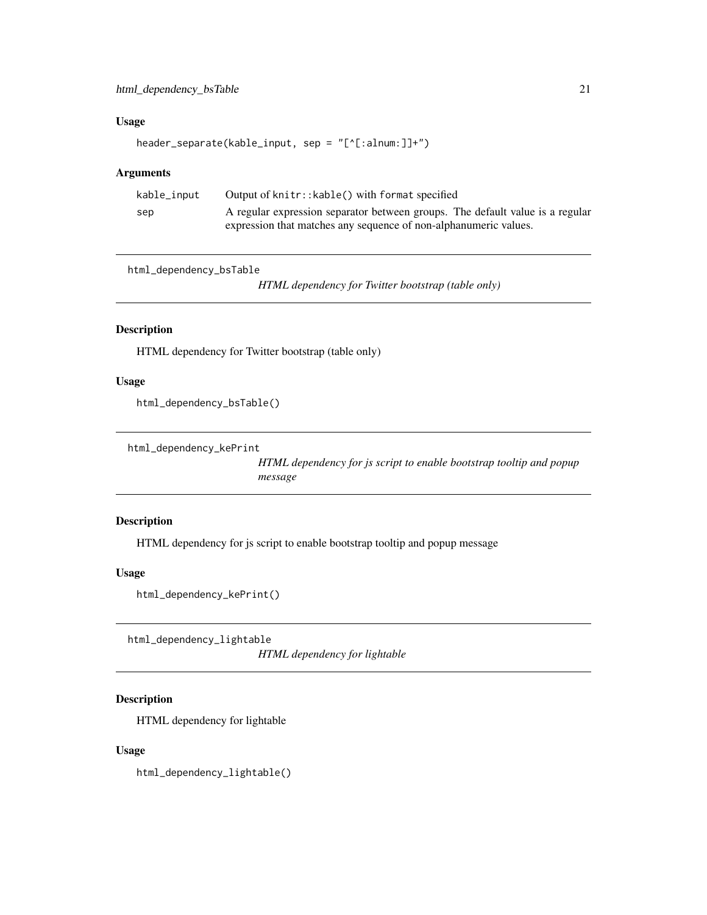### <span id="page-20-0"></span>Usage

```
header_separate(kable_input, sep = "[^[:alnum:]]+")
```
### Arguments

| kable_input | Output of knitr:: kable() with format specified                               |
|-------------|-------------------------------------------------------------------------------|
| sep         | A regular expression separator between groups. The default value is a regular |
|             | expression that matches any sequence of non-alphanumeric values.              |

html\_dependency\_bsTable

*HTML dependency for Twitter bootstrap (table only)*

### Description

HTML dependency for Twitter bootstrap (table only)

### Usage

html\_dependency\_bsTable()

html\_dependency\_kePrint

*HTML dependency for js script to enable bootstrap tooltip and popup message*

### Description

HTML dependency for js script to enable bootstrap tooltip and popup message

### Usage

```
html_dependency_kePrint()
```
html\_dependency\_lightable

*HTML dependency for lightable*

### Description

HTML dependency for lightable

### Usage

html\_dependency\_lightable()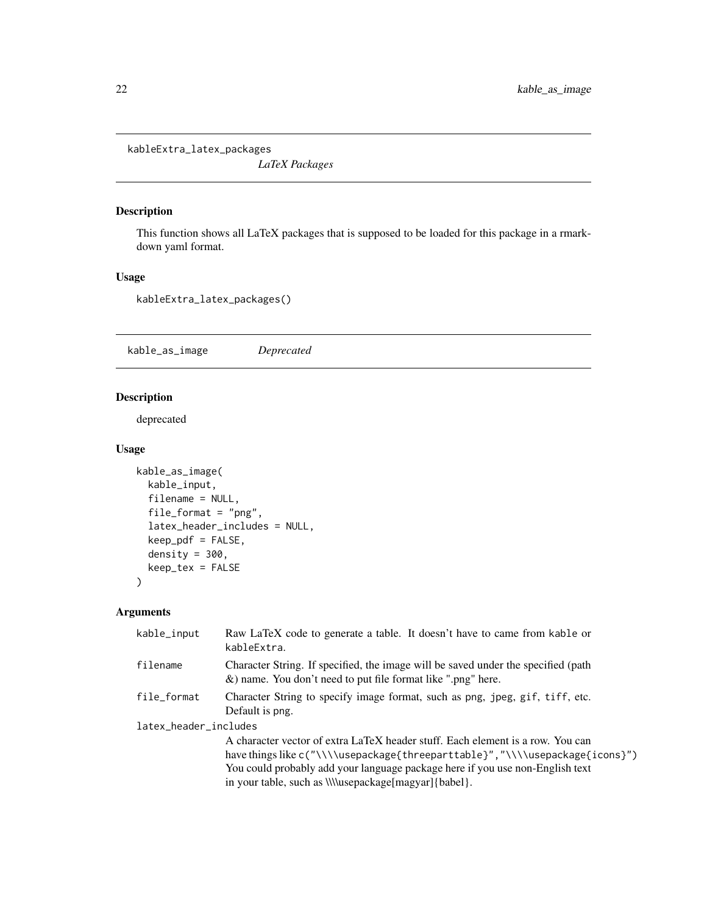<span id="page-21-0"></span>kableExtra\_latex\_packages

*LaTeX Packages*

### Description

This function shows all LaTeX packages that is supposed to be loaded for this package in a rmarkdown yaml format.

### Usage

kableExtra\_latex\_packages()

kable\_as\_image *Deprecated*

### Description

deprecated

### Usage

```
kable_as_image(
 kable_input,
  filename = NULL,
  file_format = "png",
  latex_header_includes = NULL,
  keep_pdf = FALSE,
  density = 300,
 keep_tex = FALSE
)
```

| kable_input           | Raw LaTeX code to generate a table. It doesn't have to came from kable or<br>kableExtra.                                                                                                                                                                                                                          |
|-----------------------|-------------------------------------------------------------------------------------------------------------------------------------------------------------------------------------------------------------------------------------------------------------------------------------------------------------------|
| filename              | Character String. If specified, the image will be saved under the specified (path<br>$\&$ ) name. You don't need to put file format like ".png" here.                                                                                                                                                             |
| file_format           | Character String to specify image format, such as png, jpeg, gif, tiff, etc.<br>Default is png.                                                                                                                                                                                                                   |
| latex_header_includes |                                                                                                                                                                                                                                                                                                                   |
|                       | A character vector of extra LaTeX header stuff. Each element is a row. You can<br>have things like c("\\\\usepackage{threeparttable}", "\\\\usepackage{icons}")<br>You could probably add your language package here if you use non-English text<br>in your table, such as <i>\\\\usepackage[magyar]{babel}</i> . |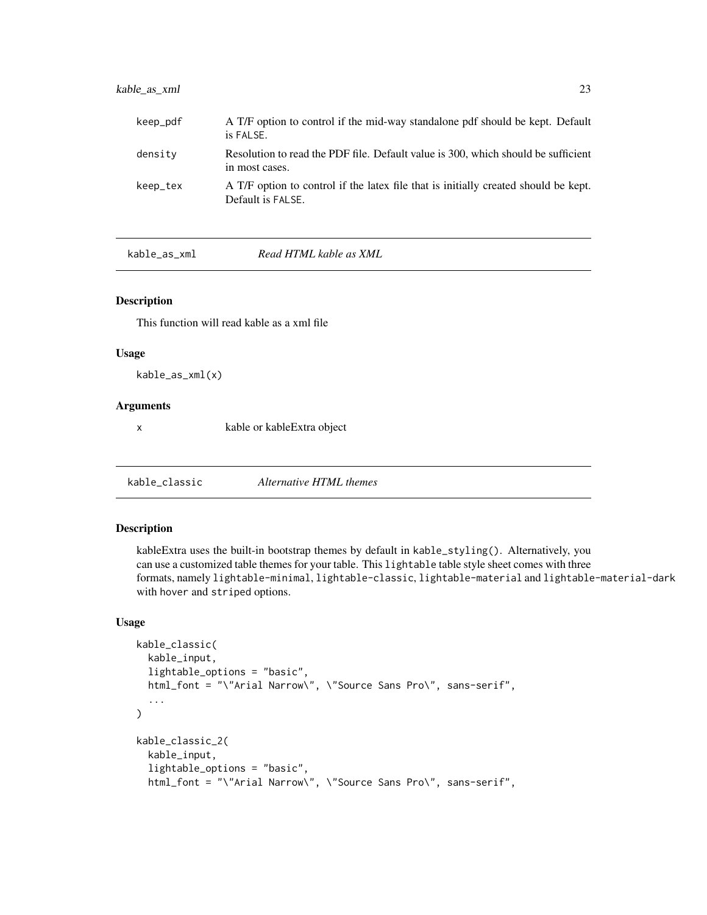### <span id="page-22-0"></span>kable\_as\_xml 23

| keep_pdf | A T/F option to control if the mid-way standalone pdf should be kept. Default<br>is FALSE.               |
|----------|----------------------------------------------------------------------------------------------------------|
| density  | Resolution to read the PDF file. Default value is 300, which should be sufficient<br>in most cases.      |
| keep_tex | A T/F option to control if the latex file that is initially created should be kept.<br>Default is FALSE. |

kable\_as\_xml *Read HTML kable as XML*

#### Description

This function will read kable as a xml file

#### Usage

kable\_as\_xml(x)

### Arguments

x kable or kableExtra object

kable\_classic *Alternative HTML themes*

### Description

kableExtra uses the built-in bootstrap themes by default in kable\_styling(). Alternatively, you can use a customized table themes for your table. This lightable table style sheet comes with three formats, namely lightable-minimal, lightable-classic, lightable-material and lightable-material-dark with hover and striped options.

```
kable_classic(
  kable_input,
  lightable_options = "basic",
  html_font = "\"Arial Narrow\", \"Source Sans Pro\", sans-serif",
  ...
\overline{\phantom{0}}kable_classic_2(
  kable_input,
  lightable_options = "basic",
  html_font = "\"Arial Narrow\", \"Source Sans Pro\", sans-serif",
```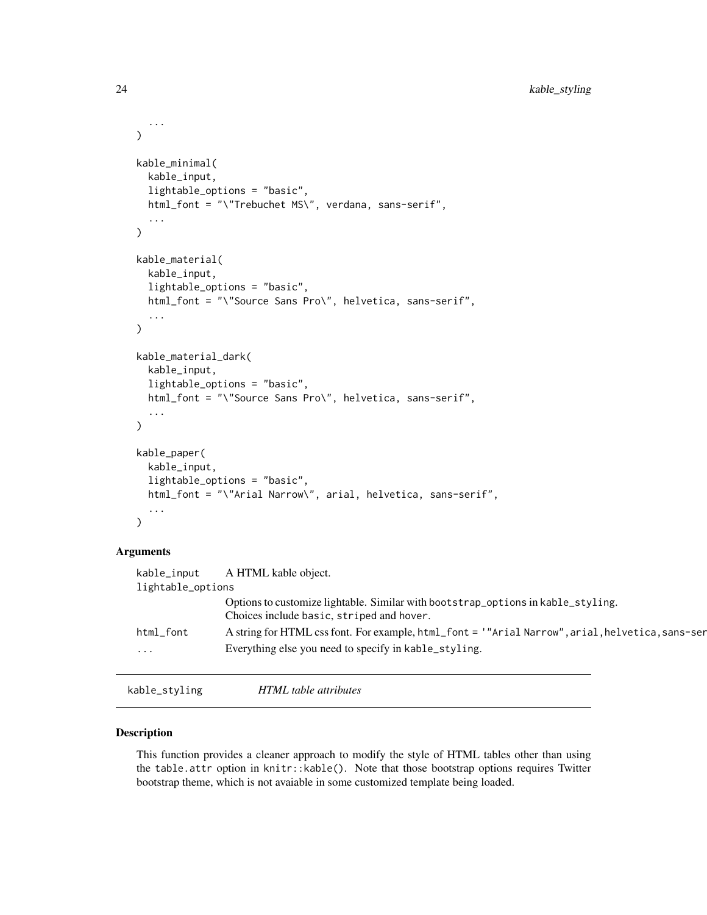```
...
\lambdakable_minimal(
  kable_input,
  lightable_options = "basic",
 html_font = "\"Trebuchet MS\", verdana, sans-serif",
  ...
)
kable_material(
  kable_input,
  lightable_options = "basic",
 html_font = "\"Source Sans Pro\", helvetica, sans-serif",
  ...
)
kable_material_dark(
  kable_input,
  lightable_options = "basic",
  html_font = "\"Source Sans Pro\", helvetica, sans-serif",
  ...
\mathcal{L}kable_paper(
  kable_input,
  lightable_options = "basic",
  html_font = "\"Arial Narrow\", arial, helvetica, sans-serif",
  ...
)
```
### Arguments

| kable_input       | A HTML kable object.                                                                                                          |
|-------------------|-------------------------------------------------------------------------------------------------------------------------------|
| lightable_options |                                                                                                                               |
|                   | Options to customize lightable. Similar with bootstrap_options in kable_styling.<br>Choices include basic, striped and hover. |
| html_font         | A string for HTML css font. For example, html_font = '"Arial Narrow", arial, helvetica, sans-ser                              |
| $\cdots$          | Everything else you need to specify in kable_styling.                                                                         |
|                   |                                                                                                                               |

kable\_styling *HTML table attributes*

### Description

This function provides a cleaner approach to modify the style of HTML tables other than using the table.attr option in knitr::kable(). Note that those bootstrap options requires Twitter bootstrap theme, which is not avaiable in some customized template being loaded.

<span id="page-23-0"></span>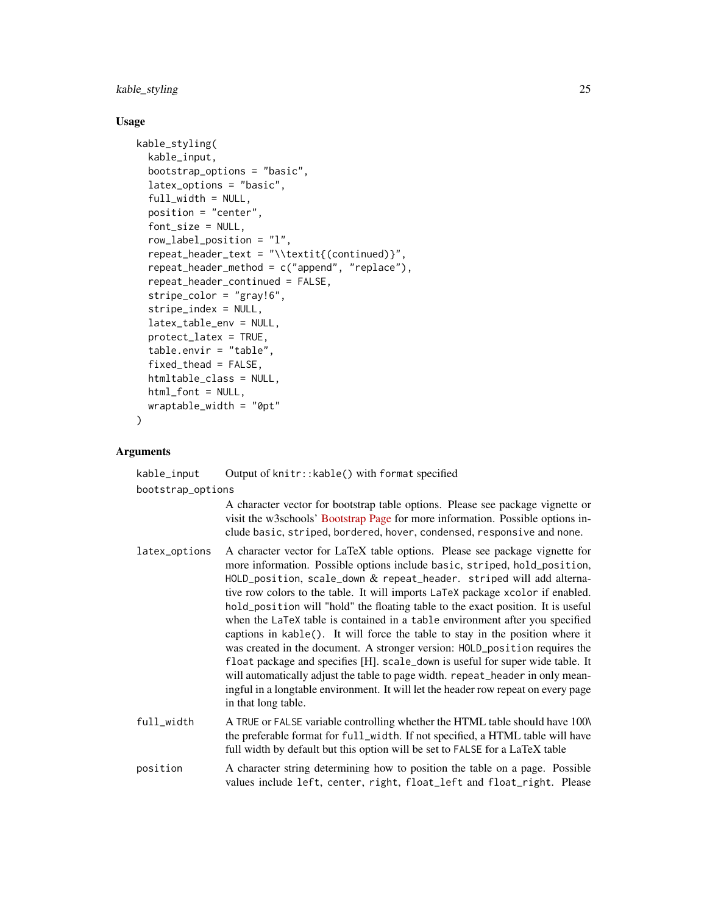### kable\_styling 25

### Usage

```
kable_styling(
  kable_input,
  bootstrap_options = "basic",
  latex_options = "basic",
  full_width = NULL,position = "center",
  font_size = NULL,
  row_label_position = "l",
  repeat_header_text = "\\textit{(continued)}",
  repeat_header_method = c("append", "replace"),
  repeat_header_continued = FALSE,
  stripe\_color = "gray!6",stripe_index = NULL,
  latex_table_env = NULL,
  protect_latex = TRUE,
  table.envir = "table",
  fixed_thead = FALSE,
  htmltable_class = NULL,
  html_font = NULL,
  wraptable_width = "0pt"
)
```
### **Arguments**

kable\_input Output of knitr::kable() with format specified bootstrap\_options A character vector for bootstrap table options. Please see package vignette or visit the w3schools' [Bootstrap Page](https://www.w3schools.com/bootstrap/bootstrap_tables.asp) for more information. Possible options include basic, striped, bordered, hover, condensed, responsive and none. latex\_options A character vector for LaTeX table options. Please see package vignette for more information. Possible options include basic, striped, hold\_position, HOLD\_position, scale\_down & repeat\_header. striped will add alternative row colors to the table. It will imports LaTeX package xcolor if enabled. hold\_position will "hold" the floating table to the exact position. It is useful when the LaTeX table is contained in a table environment after you specified captions in kable(). It will force the table to stay in the position where it was created in the document. A stronger version: HOLD\_position requires the float package and specifies [H]. scale\_down is useful for super wide table. It will automatically adjust the table to page width. repeat\_header in only meaningful in a longtable environment. It will let the header row repeat on every page in that long table. full\_width A TRUE or FALSE variable controlling whether the HTML table should have 100\ the preferable format for full\_width. If not specified, a HTML table will have full width by default but this option will be set to FALSE for a LaTeX table position A character string determining how to position the table on a page. Possible values include left, center, right, float\_left and float\_right. Please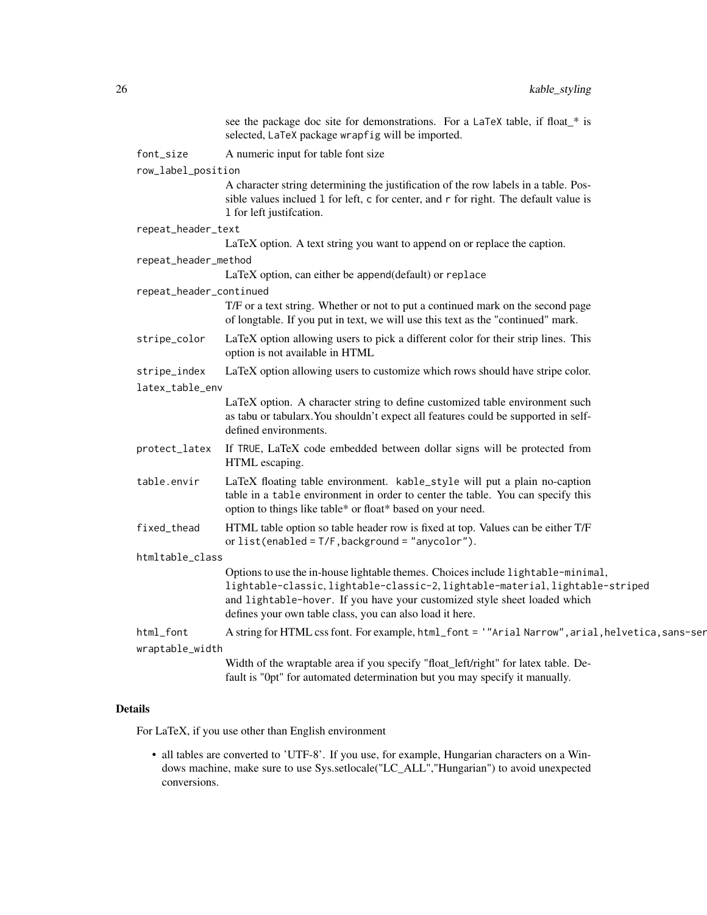|                         | see the package doc site for demonstrations. For a LaTeX table, if float_* is<br>selected, LaTeX package wrapfig will be imported.                                                                                                                                                                         |
|-------------------------|------------------------------------------------------------------------------------------------------------------------------------------------------------------------------------------------------------------------------------------------------------------------------------------------------------|
| font_size               | A numeric input for table font size                                                                                                                                                                                                                                                                        |
| row_label_position      |                                                                                                                                                                                                                                                                                                            |
|                         | A character string determining the justification of the row labels in a table. Pos-<br>sible values inclued 1 for left, c for center, and r for right. The default value is<br>1 for left justification.                                                                                                   |
| repeat_header_text      |                                                                                                                                                                                                                                                                                                            |
|                         | LaTeX option. A text string you want to append on or replace the caption.                                                                                                                                                                                                                                  |
| repeat_header_method    |                                                                                                                                                                                                                                                                                                            |
|                         | LaTeX option, can either be append(default) or replace                                                                                                                                                                                                                                                     |
| repeat_header_continued |                                                                                                                                                                                                                                                                                                            |
|                         | T/F or a text string. Whether or not to put a continued mark on the second page<br>of longtable. If you put in text, we will use this text as the "continued" mark.                                                                                                                                        |
| stripe_color            | LaTeX option allowing users to pick a different color for their strip lines. This<br>option is not available in HTML                                                                                                                                                                                       |
| stripe_index            | LaTeX option allowing users to customize which rows should have stripe color.                                                                                                                                                                                                                              |
| latex_table_env         |                                                                                                                                                                                                                                                                                                            |
|                         | LaTeX option. A character string to define customized table environment such<br>as tabu or tabularx. You shouldn't expect all features could be supported in self-<br>defined environments.                                                                                                                |
| protect_latex           | If TRUE, LaTeX code embedded between dollar signs will be protected from<br>HTML escaping.                                                                                                                                                                                                                 |
| table.envir             | LaTeX floating table environment. kable_style will put a plain no-caption<br>table in a table environment in order to center the table. You can specify this<br>option to things like table* or float* based on your need.                                                                                 |
| fixed_thead             | HTML table option so table header row is fixed at top. Values can be either T/F<br>or $list(enabled = T/F, background = "anycolor").$                                                                                                                                                                      |
| htmltable_class         |                                                                                                                                                                                                                                                                                                            |
|                         | Options to use the in-house lightable themes. Choices include lightable-minimal,<br>lightable-classic, lightable-classic-2, lightable-material, lightable-striped<br>and lightable-hover. If you have your customized style sheet loaded which<br>defines your own table class, you can also load it here. |
| html_font               | A string for HTML css font. For example, html_font = '"Arial Narrow", arial, helvetica, sans-ser                                                                                                                                                                                                           |
| wraptable_width         |                                                                                                                                                                                                                                                                                                            |
|                         | Width of the wraptable area if you specify "float_left/right" for latex table. De-<br>fault is "Opt" for automated determination but you may specify it manually.                                                                                                                                          |

### Details

For LaTeX, if you use other than English environment

• all tables are converted to 'UTF-8'. If you use, for example, Hungarian characters on a Windows machine, make sure to use Sys.setlocale("LC\_ALL","Hungarian") to avoid unexpected conversions.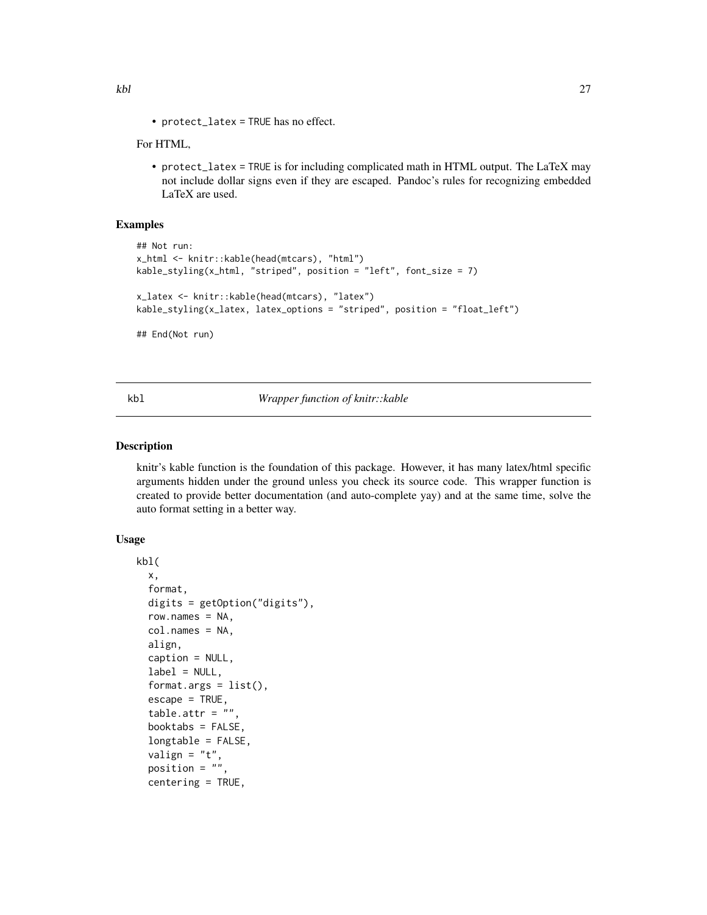<span id="page-26-0"></span>• protect\_latex = TRUE has no effect.

### For HTML,

• protect\_latex = TRUE is for including complicated math in HTML output. The LaTeX may not include dollar signs even if they are escaped. Pandoc's rules for recognizing embedded LaTeX are used.

### Examples

```
## Not run:
x_html <- knitr::kable(head(mtcars), "html")
kable_styling(x_html, "striped", position = "left", font_size = 7)
x_latex <- knitr::kable(head(mtcars), "latex")
kable_styling(x_latex, latex_options = "striped", position = "float_left")
## End(Not run)
```
#### kbl *Wrapper function of knitr::kable*

### Description

knitr's kable function is the foundation of this package. However, it has many latex/html specific arguments hidden under the ground unless you check its source code. This wrapper function is created to provide better documentation (and auto-complete yay) and at the same time, solve the auto format setting in a better way.

```
kbl(
  x,
  format,
  digits = getOption("digits"),
  row.names = NA,
  col.names = NA,
  align,
  caption = NULL,
  label = NULL,format.argv = list(),escape = TRUE,
  table.attr = ",
  booktabs = FALSE,
  longtable = FALSE,
  valign = "t",position = ",
  centering = TRUE,
```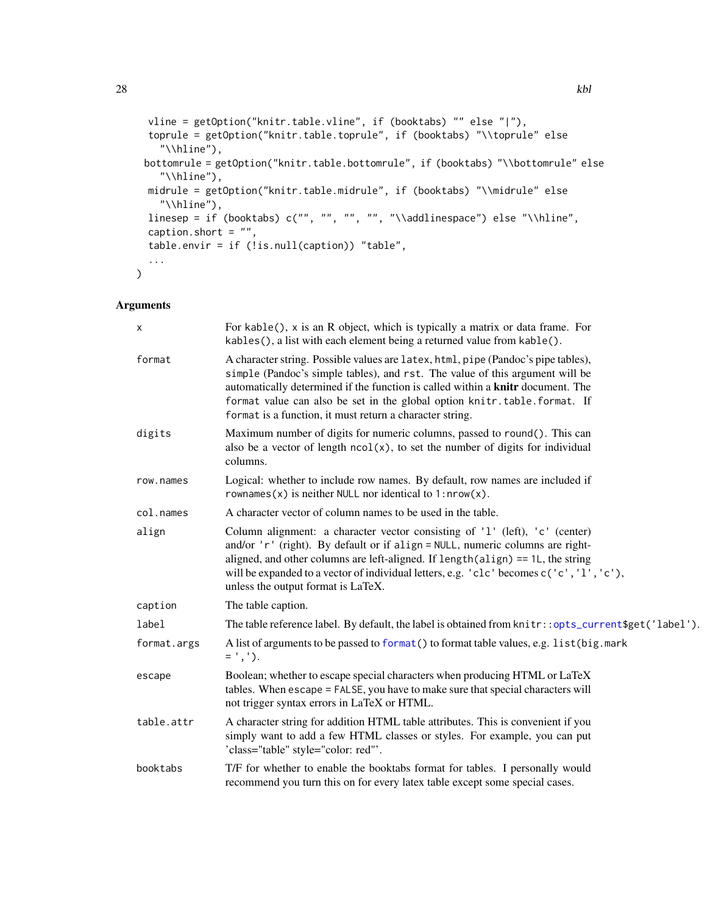```
vline = getOption("knitr.table.vline", if (booktabs) "" else "|"),
toprule = getOption("knitr.table.toprule", if (booktabs) "\\toprule" else
  "\\hline"),
bottomrule = getOption("knitr.table.bottomrule", if (booktabs) "\\bottomrule" else
  "\\hline"),
midrule = getOption("knitr.table.midrule", if (booktabs) "\\midrule" else
  "\\hline"),
linesep = if (booktabs) c("", "", "", "", "\\addlinespace") else "\\hline",
caption.short = ",
table.envir = if (!is.null(caption)) "table",
...
```
### Arguments

 $\mathcal{L}$ 

| X           | For kable(), x is an R object, which is typically a matrix or data frame. For<br>kables(), a list with each element being a returned value from kable().                                                                                                                                                                                                                                            |
|-------------|-----------------------------------------------------------------------------------------------------------------------------------------------------------------------------------------------------------------------------------------------------------------------------------------------------------------------------------------------------------------------------------------------------|
| format      | A character string. Possible values are latex, html, pipe (Pandoc's pipe tables),<br>simple (Pandoc's simple tables), and rst. The value of this argument will be<br>automatically determined if the function is called within a <b>knitr</b> document. The<br>format value can also be set in the global option knitr.table.format. If<br>format is a function, it must return a character string. |
| digits      | Maximum number of digits for numeric columns, passed to round(). This can<br>also be a vector of length $ncol(x)$ , to set the number of digits for individual<br>columns.                                                                                                                                                                                                                          |
| row.names   | Logical: whether to include row names. By default, row names are included if<br>rownames(x) is neither NULL nor identical to $1: nrow(x)$ .                                                                                                                                                                                                                                                         |
| col.names   | A character vector of column names to be used in the table.                                                                                                                                                                                                                                                                                                                                         |
| align       | Column alignment: a character vector consisting of '1' (left), 'c' (center)<br>and/or 'r' (right). By default or if align = NULL, numeric columns are right-<br>aligned, and other columns are left-aligned. If length(align) == 1L, the string<br>will be expanded to a vector of individual letters, e.g. 'clc' becomes c('c', 'l', 'c'),<br>unless the output format is LaTeX.                   |
| caption     | The table caption.                                                                                                                                                                                                                                                                                                                                                                                  |
| label       | The table reference label. By default, the label is obtained from knitr::opts_current\$get('label').                                                                                                                                                                                                                                                                                                |
| format.args | A list of arguments to be passed to format() to format table values, e.g. list (big.mark<br>$=$ ', ').                                                                                                                                                                                                                                                                                              |
| escape      | Boolean; whether to escape special characters when producing HTML or LaTeX<br>tables. When escape = FALSE, you have to make sure that special characters will<br>not trigger syntax errors in LaTeX or HTML.                                                                                                                                                                                        |
| table.attr  | A character string for addition HTML table attributes. This is convenient if you<br>simply want to add a few HTML classes or styles. For example, you can put<br>'class="table" style="color: red"'.                                                                                                                                                                                                |
| booktabs    | T/F for whether to enable the booktabs format for tables. I personally would<br>recommend you turn this on for every latex table except some special cases.                                                                                                                                                                                                                                         |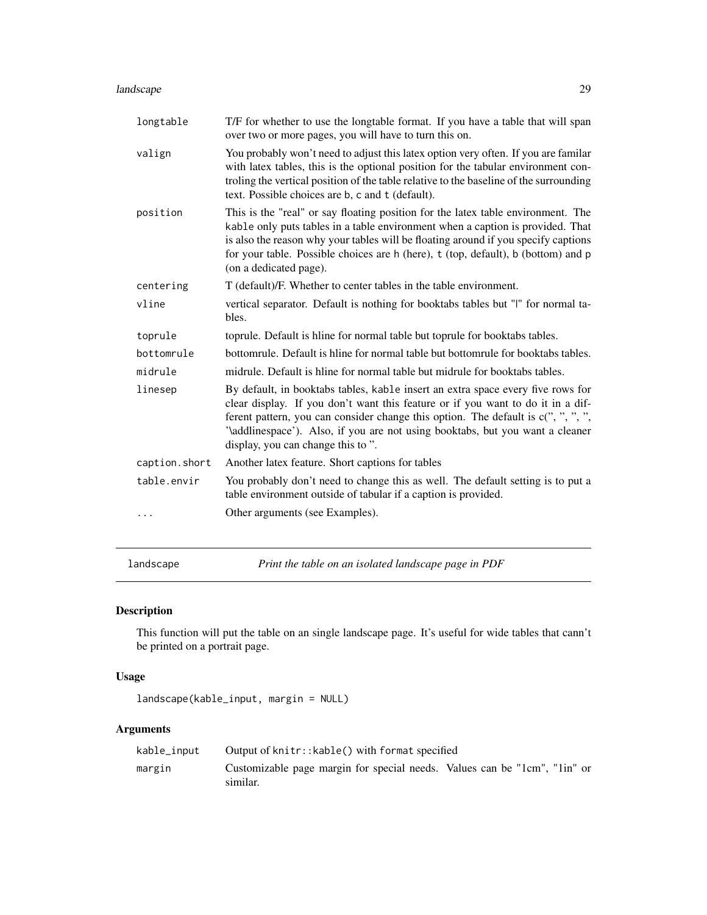#### <span id="page-28-0"></span>landscape 29

| longtable     | T/F for whether to use the longtable format. If you have a table that will span<br>over two or more pages, you will have to turn this on.                                                                                                                                                                                                                                     |
|---------------|-------------------------------------------------------------------------------------------------------------------------------------------------------------------------------------------------------------------------------------------------------------------------------------------------------------------------------------------------------------------------------|
| valign        | You probably won't need to adjust this latex option very often. If you are familar<br>with latex tables, this is the optional position for the tabular environment con-<br>troling the vertical position of the table relative to the baseline of the surrounding<br>text. Possible choices are b, c and t (default).                                                         |
| position      | This is the "real" or say floating position for the latex table environment. The<br>kable only puts tables in a table environment when a caption is provided. That<br>is also the reason why your tables will be floating around if you specify captions<br>for your table. Possible choices are h (here), t (top, default), b (bottom) and p<br>(on a dedicated page).       |
| centering     | T (default)/F. Whether to center tables in the table environment.                                                                                                                                                                                                                                                                                                             |
| vline         | vertical separator. Default is nothing for booktabs tables but "I" for normal ta-<br>bles.                                                                                                                                                                                                                                                                                    |
| toprule       | toprule. Default is hline for normal table but toprule for booktabs tables.                                                                                                                                                                                                                                                                                                   |
| bottomrule    | bottomrule. Default is hline for normal table but bottomrule for booktabs tables.                                                                                                                                                                                                                                                                                             |
| midrule       | midrule. Default is hline for normal table but midrule for booktabs tables.                                                                                                                                                                                                                                                                                                   |
| linesep       | By default, in booktabs tables, kable insert an extra space every five rows for<br>clear display. If you don't want this feature or if you want to do it in a dif-<br>ferent pattern, you can consider change this option. The default is c(", ", ", ",<br>'\addlinespace'). Also, if you are not using booktabs, but you want a cleaner<br>display, you can change this to". |
| caption.short | Another latex feature. Short captions for tables                                                                                                                                                                                                                                                                                                                              |
| table.envir   | You probably don't need to change this as well. The default setting is to put a<br>table environment outside of tabular if a caption is provided.                                                                                                                                                                                                                             |
|               | Other arguments (see Examples).                                                                                                                                                                                                                                                                                                                                               |
|               |                                                                                                                                                                                                                                                                                                                                                                               |

landscape *Print the table on an isolated landscape page in PDF*

### Description

This function will put the table on an single landscape page. It's useful for wide tables that cann't be printed on a portrait page.

### Usage

```
landscape(kable_input, margin = NULL)
```

| kable_input | Output of knitr:: kable() with format specified                                       |
|-------------|---------------------------------------------------------------------------------------|
| margin      | Customizable page margin for special needs. Values can be "1cm", "1in" or<br>similar. |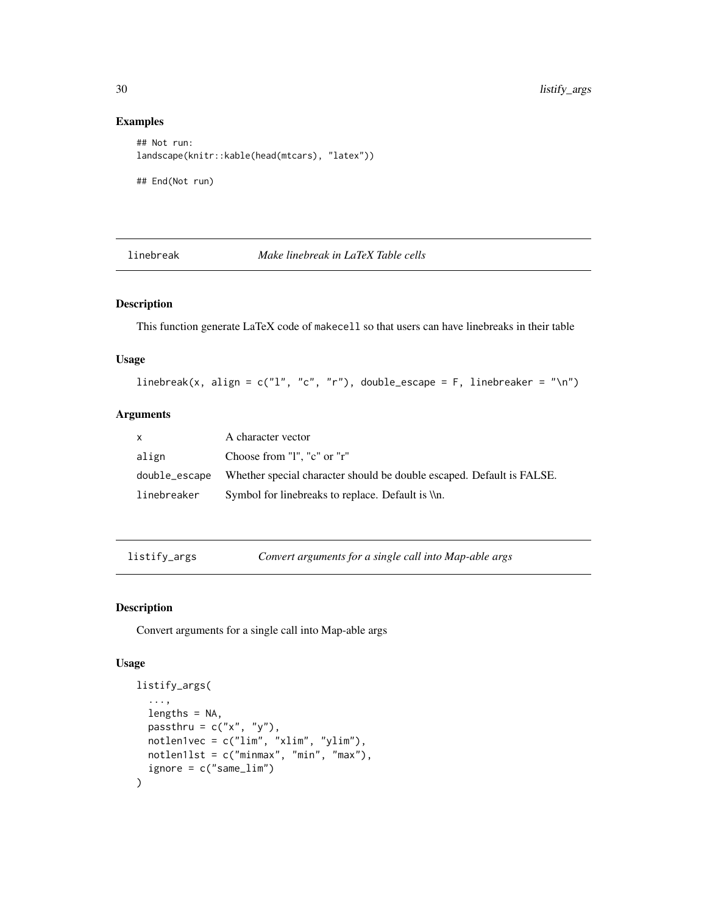### Examples

```
## Not run:
landscape(knitr::kable(head(mtcars), "latex"))
## End(Not run)
```
### linebreak *Make linebreak in LaTeX Table cells*

### Description

This function generate LaTeX code of makecell so that users can have linebreaks in their table

#### Usage

linebreak(x, align =  $c("l", "c", "r")$ , double\_escape = F, linebreaker = "\n")

### Arguments

| X           | A character vector                                                                  |
|-------------|-------------------------------------------------------------------------------------|
| align       | Choose from "1", "c" or "r"                                                         |
|             | double_escape Whether special character should be double escaped. Default is FALSE. |
| linebreaker | Symbol for linebreaks to replace. Default is \\n.                                   |

listify\_args *Convert arguments for a single call into Map-able args*

### Description

Convert arguments for a single call into Map-able args

```
listify_args(
  ...,
  lengths = NA,
 passthru = c("x", "y"),
 notlen1vec = c("lim", "xlim", "ylim"),notlen1lst = c("minmax", "min", "max"),
  ignore = c("same_lim")
\mathcal{L}
```
<span id="page-29-0"></span>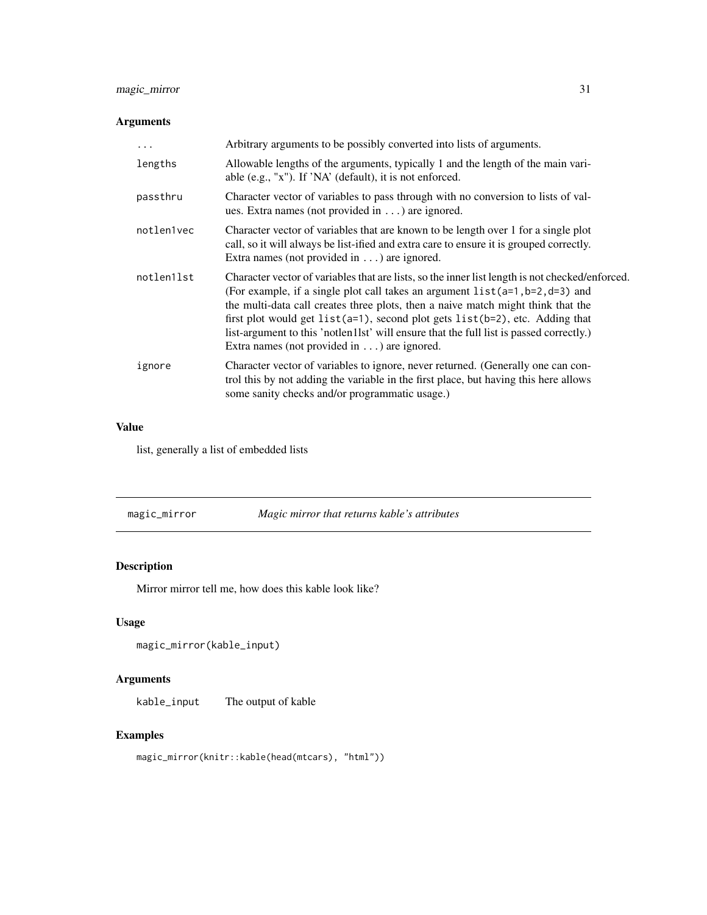### <span id="page-30-0"></span>magic\_mirror 31

### Arguments

| $\ddots$   | Arbitrary arguments to be possibly converted into lists of arguments.                                                                                                                                                                                                                                                                                                                                                                                                                                          |
|------------|----------------------------------------------------------------------------------------------------------------------------------------------------------------------------------------------------------------------------------------------------------------------------------------------------------------------------------------------------------------------------------------------------------------------------------------------------------------------------------------------------------------|
| lengths    | Allowable lengths of the arguments, typically 1 and the length of the main vari-<br>able (e.g., "x"). If 'NA' (default), it is not enforced.                                                                                                                                                                                                                                                                                                                                                                   |
| passthru   | Character vector of variables to pass through with no conversion to lists of val-<br>ues. Extra names (not provided in $\dots$ ) are ignored.                                                                                                                                                                                                                                                                                                                                                                  |
| notlen1vec | Character vector of variables that are known to be length over 1 for a single plot<br>call, so it will always be list-ified and extra care to ensure it is grouped correctly.<br>Extra names (not provided in $\dots$ ) are ignored.                                                                                                                                                                                                                                                                           |
| notlen1lst | Character vector of variables that are lists, so the inner list length is not checked/enforced.<br>(For example, if a single plot call takes an argument $list(a=1, b=2, d=3)$ and<br>the multi-data call creates three plots, then a naive match might think that the<br>first plot would get $list(a=1)$ , second plot gets $list(b=2)$ , etc. Adding that<br>list-argument to this 'notlen11st' will ensure that the full list is passed correctly.)<br>Extra names (not provided in $\dots$ ) are ignored. |
| ignore     | Character vector of variables to ignore, never returned. (Generally one can con-<br>trol this by not adding the variable in the first place, but having this here allows<br>some sanity checks and/or programmatic usage.)                                                                                                                                                                                                                                                                                     |

### Value

list, generally a list of embedded lists

| magic_mirror | Magic mirror that returns kable's attributes |
|--------------|----------------------------------------------|
|--------------|----------------------------------------------|

### Description

Mirror mirror tell me, how does this kable look like?

### Usage

```
magic_mirror(kable_input)
```
### Arguments

kable\_input The output of kable

### Examples

magic\_mirror(knitr::kable(head(mtcars), "html"))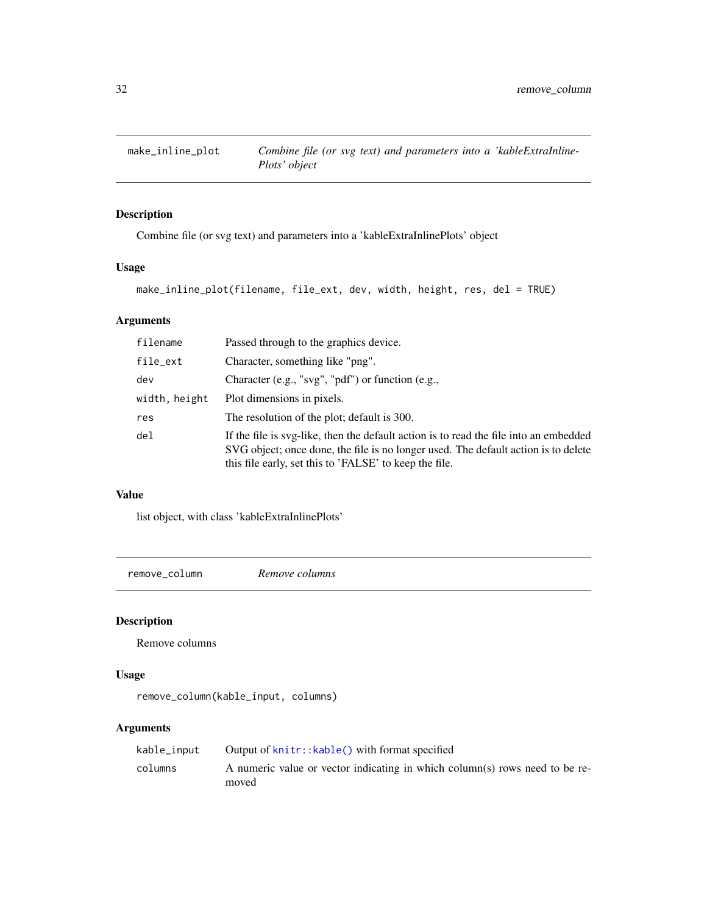<span id="page-31-0"></span>

### Description

Combine file (or svg text) and parameters into a 'kableExtraInlinePlots' object

### Usage

make\_inline\_plot(filename, file\_ext, dev, width, height, res, del = TRUE)

### Arguments

| filename        | Passed through to the graphics device.                                                                                                                                                                                                |
|-----------------|---------------------------------------------------------------------------------------------------------------------------------------------------------------------------------------------------------------------------------------|
| file_ext        | Character, something like "png".                                                                                                                                                                                                      |
| dev             | Character $(e.g., "svg", "pdf")$ or function $(e.g.,$                                                                                                                                                                                 |
| width, height   | Plot dimensions in pixels.                                                                                                                                                                                                            |
| res             | The resolution of the plot; default is 300.                                                                                                                                                                                           |
| de <sub>1</sub> | If the file is svg-like, then the default action is to read the file into an embedded<br>SVG object; once done, the file is no longer used. The default action is to delete<br>this file early, set this to 'FALSE' to keep the file. |

### Value

list object, with class 'kableExtraInlinePlots'

remove\_column *Remove columns*

### Description

Remove columns

### Usage

```
remove_column(kable_input, columns)
```

| kable_input | Output of $k$ nitr:: $k$ able() with format specified                                |
|-------------|--------------------------------------------------------------------------------------|
| columns     | A numeric value or vector indicating in which column(s) rows need to be re-<br>moved |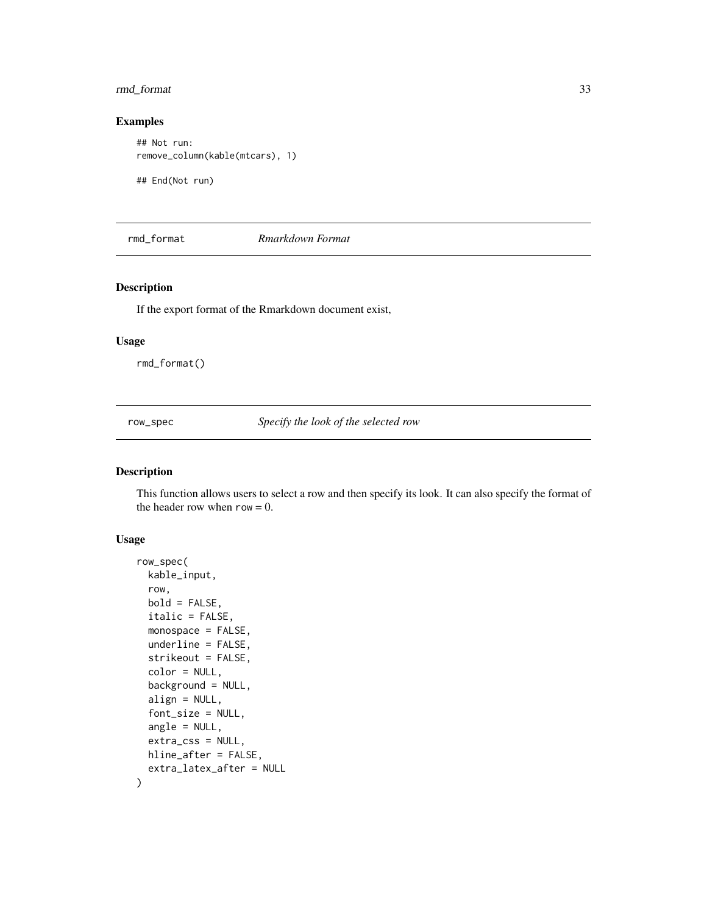### <span id="page-32-0"></span>rmd\_format 33

### Examples

```
## Not run:
remove_column(kable(mtcars), 1)
```
## End(Not run)

rmd\_format *Rmarkdown Format*

### Description

If the export format of the Rmarkdown document exist,

#### Usage

rmd\_format()

row\_spec *Specify the look of the selected row*

### Description

This function allows users to select a row and then specify its look. It can also specify the format of the header row when  $row = 0$ .

```
row_spec(
 kable_input,
  row,
 bold = FALSE,
  italic = FALSE,
 monospace = FALSE,
 underline = FALSE,
  strikeout = FALSE,
  color = NULL,
 background = NULL,
  align = NULL,
  font_size = NULL,
  angle = NULL,
 extra_css = NULL,
 hline_after = FALSE,
  extra_latex_after = NULL
)
```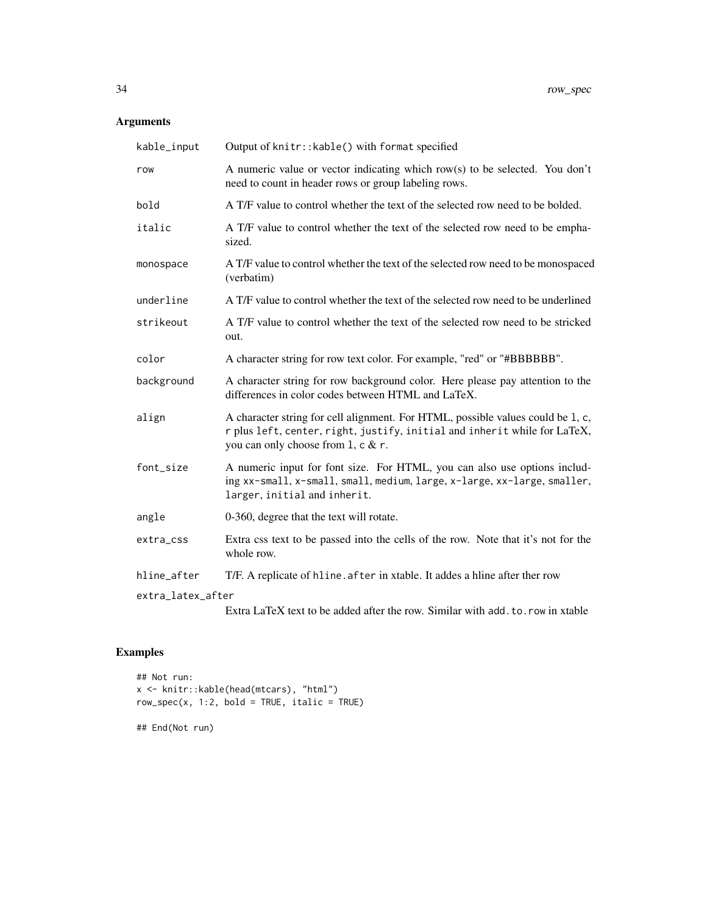### Arguments

| kable_input       | Output of knitr:: kable() with format specified                                                                                                                                                    |
|-------------------|----------------------------------------------------------------------------------------------------------------------------------------------------------------------------------------------------|
| row               | A numeric value or vector indicating which row(s) to be selected. You don't<br>need to count in header rows or group labeling rows.                                                                |
| bold              | A T/F value to control whether the text of the selected row need to be bolded.                                                                                                                     |
| italic            | A T/F value to control whether the text of the selected row need to be empha-<br>sized.                                                                                                            |
| monospace         | A T/F value to control whether the text of the selected row need to be monospaced<br>(verbatim)                                                                                                    |
| underline         | A T/F value to control whether the text of the selected row need to be underlined                                                                                                                  |
| strikeout         | A T/F value to control whether the text of the selected row need to be stricked<br>out.                                                                                                            |
| color             | A character string for row text color. For example, "red" or "#BBBBBB".                                                                                                                            |
| background        | A character string for row background color. Here please pay attention to the<br>differences in color codes between HTML and LaTeX.                                                                |
| align             | A character string for cell alignment. For HTML, possible values could be 1, c,<br>r plus left, center, right, justify, initial and inherit while for LaTeX,<br>you can only choose from 1, c & r. |
| font_size         | A numeric input for font size. For HTML, you can also use options includ-<br>ing xx-small, x-small, small, medium, large, x-large, xx-large, smaller,<br>larger, initial and inherit.              |
| angle             | 0-360, degree that the text will rotate.                                                                                                                                                           |
| extra_css         | Extra css text to be passed into the cells of the row. Note that it's not for the<br>whole row.                                                                                                    |
| hline_after       | T/F. A replicate of hline. after in xtable. It addes a hline after ther row                                                                                                                        |
| extra_latex_after |                                                                                                                                                                                                    |
|                   | Extra LaTeX text to be added after the row. Similar with add. to. row in xtable                                                                                                                    |

### Examples

```
## Not run:
x <- knitr::kable(head(mtcars), "html")
row\_spec(x, 1:2, bold = TRUE, italic = TRUE)
```
## End(Not run)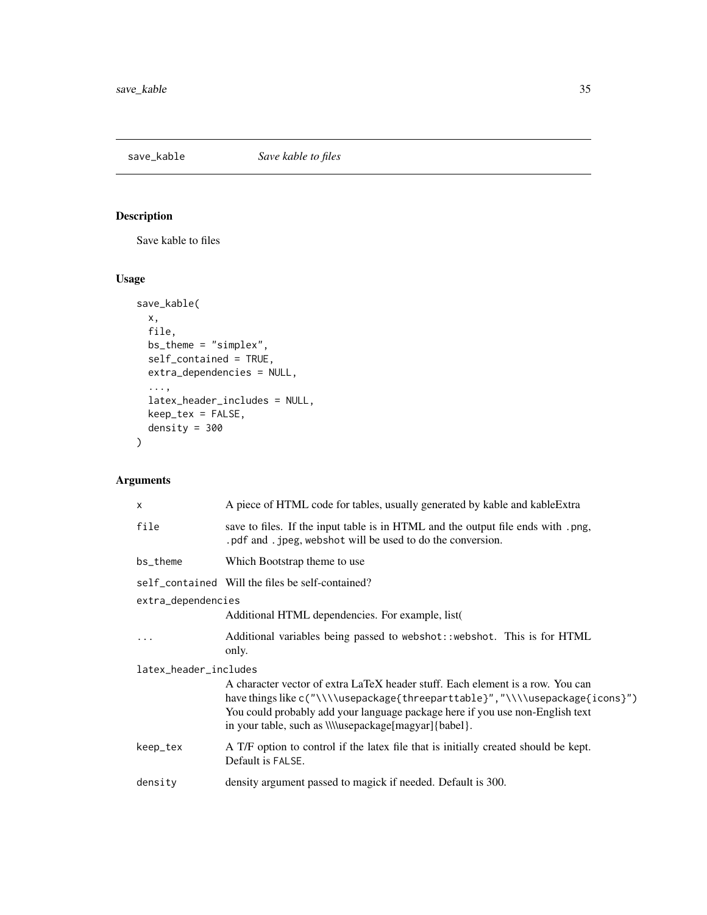<span id="page-34-0"></span>

### Description

Save kable to files

### Usage

```
save_kable(
 x,
 file,
 bs_theme = "simplex",
 self_contained = TRUE,
 extra_dependencies = NULL,
  ...,
 latex_header_includes = NULL,
 keep_tex = FALSE,
 density = 300
)
```

| $\mathsf{x}$          | A piece of HTML code for tables, usually generated by kable and kable Extra                                                                                                                                                                                                                                       |  |
|-----------------------|-------------------------------------------------------------------------------------------------------------------------------------------------------------------------------------------------------------------------------------------------------------------------------------------------------------------|--|
| file                  | save to files. If the input table is in HTML and the output file ends with .png,<br>.pdf and .jpeg, webshot will be used to do the conversion.                                                                                                                                                                    |  |
| bs_theme              | Which Bootstrap theme to use                                                                                                                                                                                                                                                                                      |  |
|                       | self_contained Will the files be self-contained?                                                                                                                                                                                                                                                                  |  |
| extra_dependencies    |                                                                                                                                                                                                                                                                                                                   |  |
|                       | Additional HTML dependencies. For example, list (                                                                                                                                                                                                                                                                 |  |
|                       | Additional variables being passed to webshot: : webshot. This is for HTML<br>only.                                                                                                                                                                                                                                |  |
| latex_header_includes |                                                                                                                                                                                                                                                                                                                   |  |
|                       | A character vector of extra LaTeX header stuff. Each element is a row. You can<br>have things like c("\\\\usepackage{threeparttable}", "\\\\usepackage{icons}")<br>You could probably add your language package here if you use non-English text<br>in your table, such as <i>Welusepackage</i> [magyar] {babel}. |  |
| keep_tex              | A T/F option to control if the latex file that is initially created should be kept.<br>Default is FALSE.                                                                                                                                                                                                          |  |
| density               | density argument passed to magick if needed. Default is 300.                                                                                                                                                                                                                                                      |  |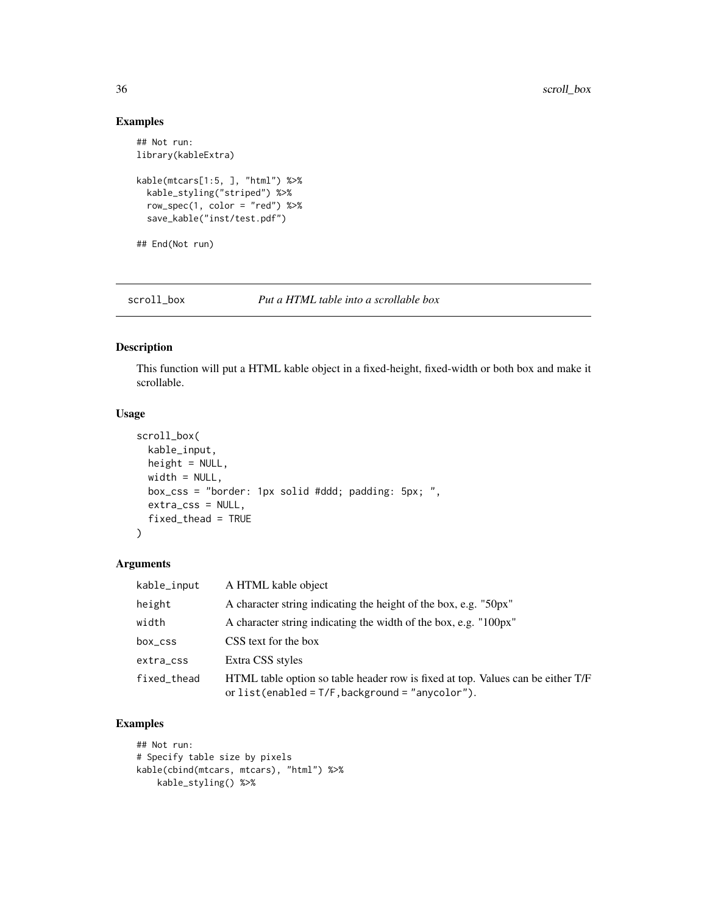### Examples

```
## Not run:
library(kableExtra)
kable(mtcars[1:5, ], "html") %>%
  kable_styling("striped") %>%
  row_spec(1, color = "red") %>%
  save_kable("inst/test.pdf")
## End(Not run)
```
scroll\_box *Put a HTML table into a scrollable box*

### Description

This function will put a HTML kable object in a fixed-height, fixed-width or both box and make it scrollable.

### Usage

```
scroll_box(
 kable_input,
 height = NULL,width = NULL,
 box_css = "border: 1px solid #ddd; padding: 5px; ",
 extra_css = NULL,
 fixed_thead = TRUE
\mathcal{L}
```
### Arguments

| kable_input | A HTML kable object                                                                                                                    |
|-------------|----------------------------------------------------------------------------------------------------------------------------------------|
| height      | A character string indicating the height of the box, e.g. "50px"                                                                       |
| width       | A character string indicating the width of the box, e.g. "100px"                                                                       |
| box_css     | CSS text for the box                                                                                                                   |
| extra_css   | Extra CSS styles                                                                                                                       |
| fixed_thead | HTML table option so table header row is fixed at top. Values can be either T/F<br>or $list(enabeled = T/F, background = "anycolor").$ |

### Examples

```
## Not run:
# Specify table size by pixels
kable(cbind(mtcars, mtcars), "html") %>%
   kable_styling() %>%
```
<span id="page-35-0"></span>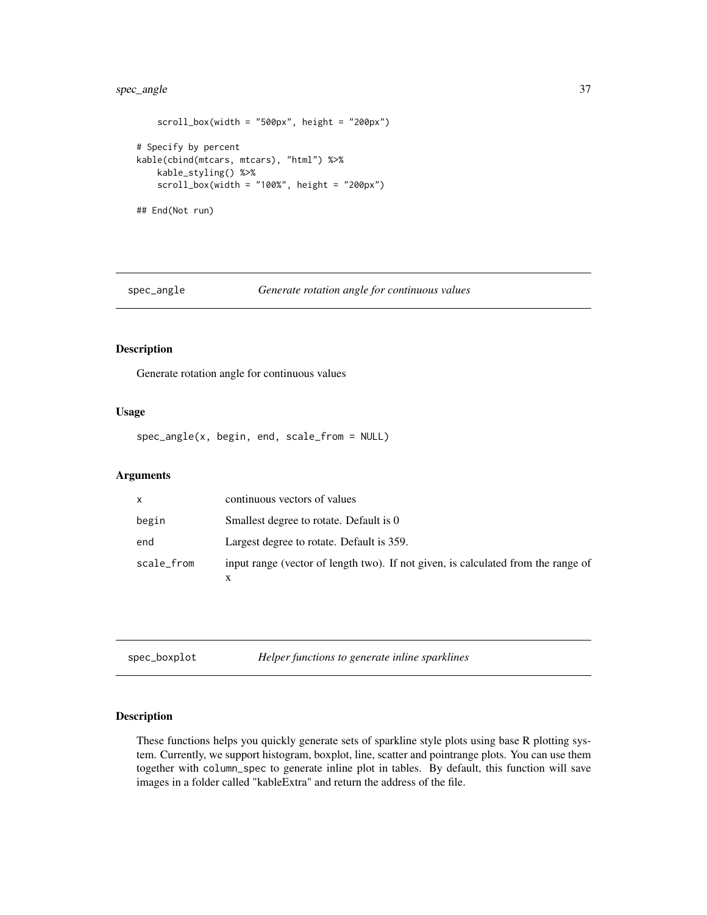### <span id="page-36-0"></span>spec\_angle 37

```
scroll_box(width = "500px", height = "200px")# Specify by percent
kable(cbind(mtcars, mtcars), "html") %>%
   kable_styling() %>%
   scroll_box(width = "100\%", height = "200px")## End(Not run)
```
### spec\_angle *Generate rotation angle for continuous values*

### Description

Generate rotation angle for continuous values

### Usage

spec\_angle(x, begin, end, scale\_from = NULL)

### Arguments

| X          | continuous vectors of values                                                      |
|------------|-----------------------------------------------------------------------------------|
| begin      | Smallest degree to rotate. Default is 0                                           |
| end        | Largest degree to rotate. Default is 359.                                         |
| scale_from | input range (vector of length two). If not given, is calculated from the range of |

| spec_boxplot |
|--------------|
|--------------|

Helper functions to generate inline sparklines

### Description

These functions helps you quickly generate sets of sparkline style plots using base R plotting system. Currently, we support histogram, boxplot, line, scatter and pointrange plots. You can use them together with column\_spec to generate inline plot in tables. By default, this function will save images in a folder called "kableExtra" and return the address of the file.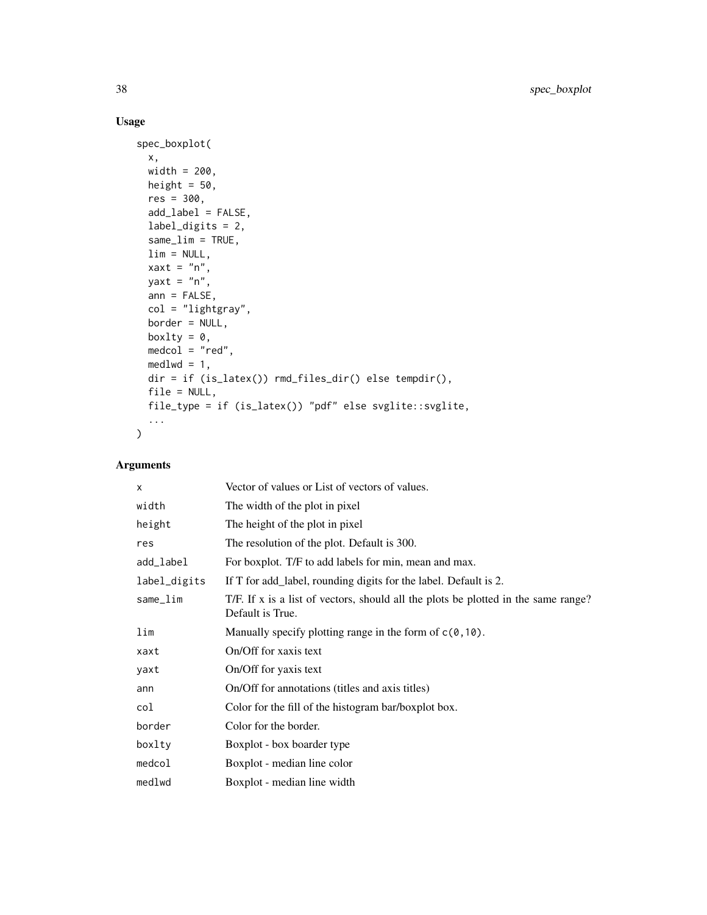### Usage

```
spec_boxplot(
  x,
 width = 200,
 height = 50,
 res = 300,
 add_label = FALSE,
 label_digits = 2,
  same_lim = TRUE,
 \lim = NULL,
 xaxt = "n",yaxt = "n",ann = FALSE,col = "lightgray",
 border = NULL,
 boxlty = \theta,
 medcol = "red",medlwd = 1,
 dir = if (is_latex()) rmd_files_dir() else tempdir(),
 file = NULL,
 file_type = if (is_latex()) "pdf" else svglite::svglite,
  ...
\mathcal{L}
```

| $\times$     | Vector of values or List of vectors of values.                                                         |
|--------------|--------------------------------------------------------------------------------------------------------|
| width        | The width of the plot in pixel                                                                         |
| height       | The height of the plot in pixel                                                                        |
| res          | The resolution of the plot. Default is 300.                                                            |
| add_label    | For boxplot. T/F to add labels for min, mean and max.                                                  |
| label_digits | If T for add_label, rounding digits for the label. Default is 2.                                       |
| same_lim     | T/F. If x is a list of vectors, should all the plots be plotted in the same range?<br>Default is True. |
| lim          | Manually specify plotting range in the form of $c(0, 10)$ .                                            |
| xaxt         | On/Off for xaxis text                                                                                  |
| yaxt         | On/Off for yaxis text                                                                                  |
| ann          | On/Off for annotations (titles and axis titles)                                                        |
| col          | Color for the fill of the histogram bar/boxplot box.                                                   |
| border       | Color for the border.                                                                                  |
| boxlty       | Boxplot - box boarder type                                                                             |
| medcol       | Boxplot - median line color                                                                            |
| medlwd       | Boxplot - median line width                                                                            |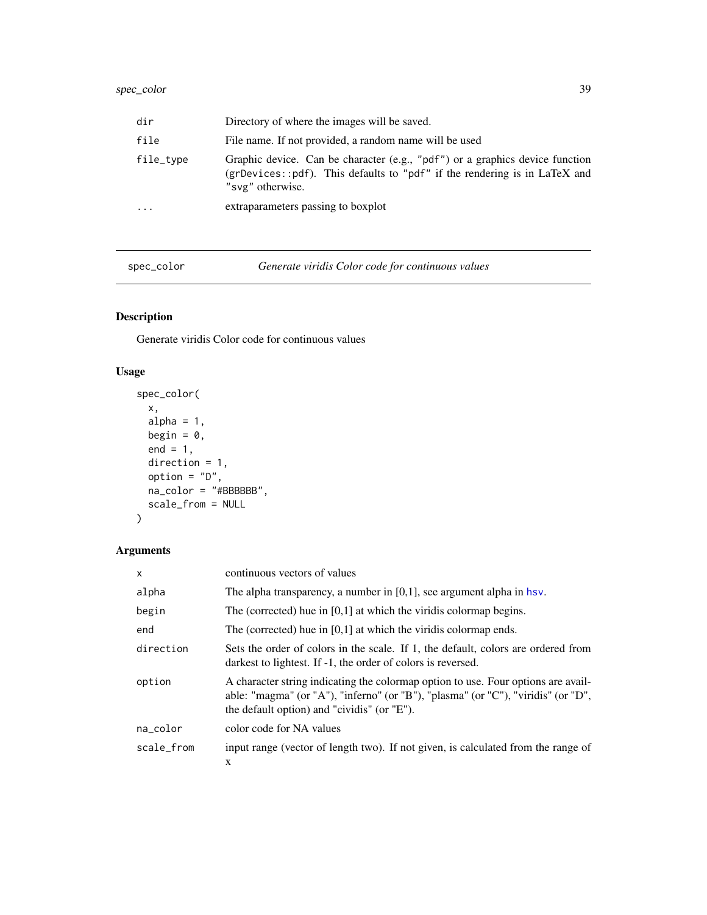### <span id="page-38-0"></span>spec\_color 39

| dir       | Directory of where the images will be saved.                                                                                                                                  |
|-----------|-------------------------------------------------------------------------------------------------------------------------------------------------------------------------------|
| file      | File name. If not provided, a random name will be used                                                                                                                        |
| file_type | Graphic device. Can be character (e.g., "pdf") or a graphics device function<br>(grDevices::pdf). This defaults to "pdf" if the rendering is in LaTeX and<br>"svg" otherwise. |
| $\cdots$  | extraparameters passing to boxplot                                                                                                                                            |

spec\_color *Generate viridis Color code for continuous values*

### Description

Generate viridis Color code for continuous values

### Usage

```
spec_color(
 x,
 alpha = 1,
 begin = 0,
 end = 1,
 direction = 1,
 option = "D",na\_color = "#BBBBBB",scale_from = NULL
\mathcal{L}
```

| $\mathsf{x}$ | continuous vectors of values                                                                                                                                                                                          |
|--------------|-----------------------------------------------------------------------------------------------------------------------------------------------------------------------------------------------------------------------|
| alpha        | The alpha transparency, a number in $[0,1]$ , see argument alpha in hsv.                                                                                                                                              |
| begin        | The (corrected) hue in $[0,1]$ at which the viridis colormap begins.                                                                                                                                                  |
| end          | The (corrected) hue in $[0,1]$ at which the viridis colormap ends.                                                                                                                                                    |
| direction    | Sets the order of colors in the scale. If 1, the default, colors are ordered from<br>darkest to lightest. If -1, the order of colors is reversed.                                                                     |
| option       | A character string indicating the colormap option to use. Four options are avail-<br>able: "magma" (or "A"), "inferno" (or "B"), "plasma" (or "C"), "viridis" (or "D",<br>the default option) and "cividis" (or "E"). |
| na_color     | color code for NA values                                                                                                                                                                                              |
| scale_from   | input range (vector of length two). If not given, is calculated from the range of<br>X                                                                                                                                |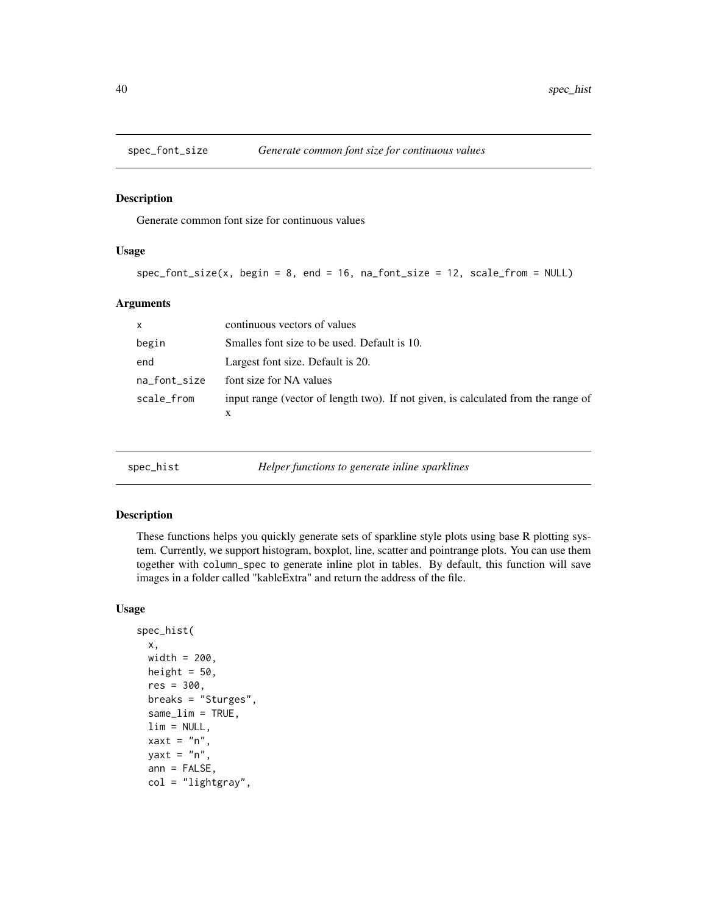<span id="page-39-0"></span>

### Description

Generate common font size for continuous values

#### Usage

```
spec_font_size(x, begin = 8, end = 16, na_font_size = 12, scale_from = NULL)
```
#### Arguments

| $\mathsf{x}$ | continuous vectors of values                                                           |
|--------------|----------------------------------------------------------------------------------------|
| begin        | Smalles font size to be used. Default is 10.                                           |
| end          | Largest font size. Default is 20.                                                      |
| na_font_size | font size for NA values                                                                |
| scale_from   | input range (vector of length two). If not given, is calculated from the range of<br>x |

spec\_hist *Helper functions to generate inline sparklines*

#### Description

These functions helps you quickly generate sets of sparkline style plots using base R plotting system. Currently, we support histogram, boxplot, line, scatter and pointrange plots. You can use them together with column\_spec to generate inline plot in tables. By default, this function will save images in a folder called "kableExtra" and return the address of the file.

```
spec_hist(
  x,
  width = 200,
 height = 50,
  res = 300,breaks = "Sturges",
  same<sub>\botim = TRUE,</sub>
  \lim = NULL,
  xaxt = "n",yaxt = "n",ann = FALSE,col = "lightgray",
```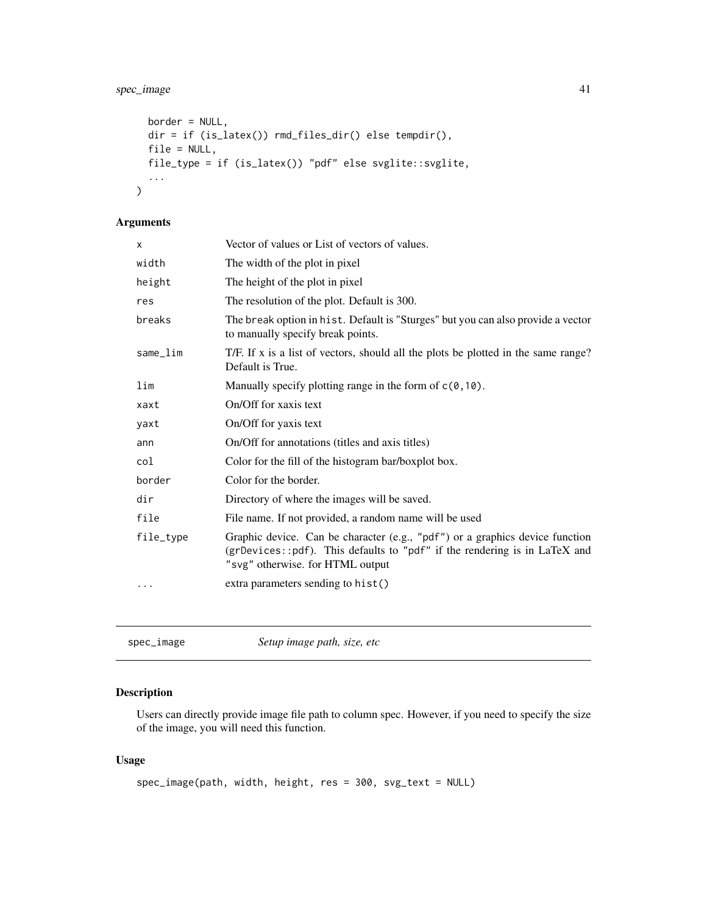### <span id="page-40-0"></span>spec\_image 41

```
border = NULL,
dir = if (is_latex()) rmd_files_dir() else tempdir(),
file = NULL,
file_type = if (is_latex()) "pdf" else svglite::svglite,
...
```
### Arguments

)

| X         | Vector of values or List of vectors of values.                                                                                                                                                |
|-----------|-----------------------------------------------------------------------------------------------------------------------------------------------------------------------------------------------|
| width     | The width of the plot in pixel                                                                                                                                                                |
| height    | The height of the plot in pixel                                                                                                                                                               |
| res       | The resolution of the plot. Default is 300.                                                                                                                                                   |
| breaks    | The break option in hist. Default is "Sturges" but you can also provide a vector<br>to manually specify break points.                                                                         |
| same_lim  | T/F. If x is a list of vectors, should all the plots be plotted in the same range?<br>Default is True.                                                                                        |
| lim       | Manually specify plotting range in the form of $c(0, 10)$ .                                                                                                                                   |
| xaxt      | On/Off for xaxis text                                                                                                                                                                         |
| yaxt      | On/Off for yaxis text                                                                                                                                                                         |
| ann       | On/Off for annotations (titles and axis titles)                                                                                                                                               |
| col       | Color for the fill of the histogram bar/boxplot box.                                                                                                                                          |
| border    | Color for the border.                                                                                                                                                                         |
| dir       | Directory of where the images will be saved.                                                                                                                                                  |
| file      | File name. If not provided, a random name will be used                                                                                                                                        |
| file_type | Graphic device. Can be character (e.g., "pdf") or a graphics device function<br>(grDevices::pdf). This defaults to "pdf" if the rendering is in LaTeX and<br>"svg" otherwise. for HTML output |
|           | extra parameters sending to hist()                                                                                                                                                            |
|           |                                                                                                                                                                                               |

spec\_image *Setup image path, size, etc*

### Description

Users can directly provide image file path to column spec. However, if you need to specify the size of the image, you will need this function.

```
spec_image(path, width, height, res = 300, svg_text = NULL)
```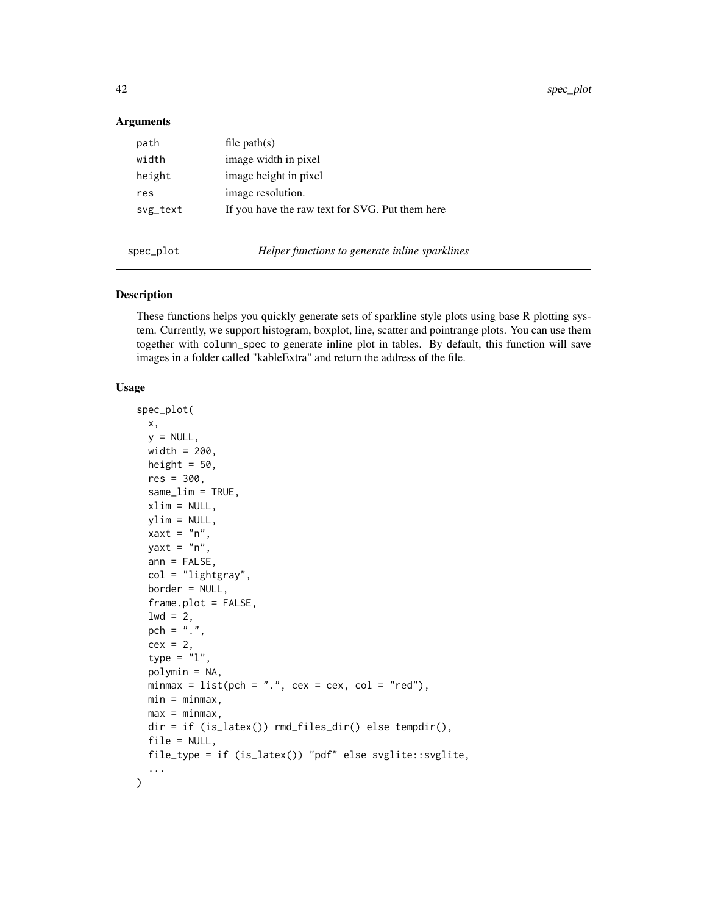<span id="page-41-0"></span>42 spec\_plot

#### Arguments

| path     | file $path(s)$                                  |
|----------|-------------------------------------------------|
| width    | image width in pixel                            |
| height   | image height in pixel                           |
| res      | image resolution.                               |
| svg_text | If you have the raw text for SVG. Put them here |
|          |                                                 |

spec\_plot *Helper functions to generate inline sparklines*

#### Description

These functions helps you quickly generate sets of sparkline style plots using base R plotting system. Currently, we support histogram, boxplot, line, scatter and pointrange plots. You can use them together with column\_spec to generate inline plot in tables. By default, this function will save images in a folder called "kableExtra" and return the address of the file.

```
spec_plot(
 x,
  y = NULL,width = 200,
 height = 50,
  res = 300,
  same_lim = TRUE,
  xlim = NULL,ylim = NULL,
  xaxt = "n",yaxt = "n",ann = FALSE,col = "lightgray",
 border = NULL,
  frame.plot = FALSE,
  1wd = 2,
  pch = ".",
  cex = 2,
  type = "1",polymin = NA,
 minmax = list(pch = ".", cex = cex, col = "red"),
 min = minmax,max = minmax,
 dir = if (is_latex()) rmd_files_dir() else tempdir(),
  file = NULL,
 file_type = if (is_latex()) "pdf" else svglite::svglite,
  ...
\mathcal{L}
```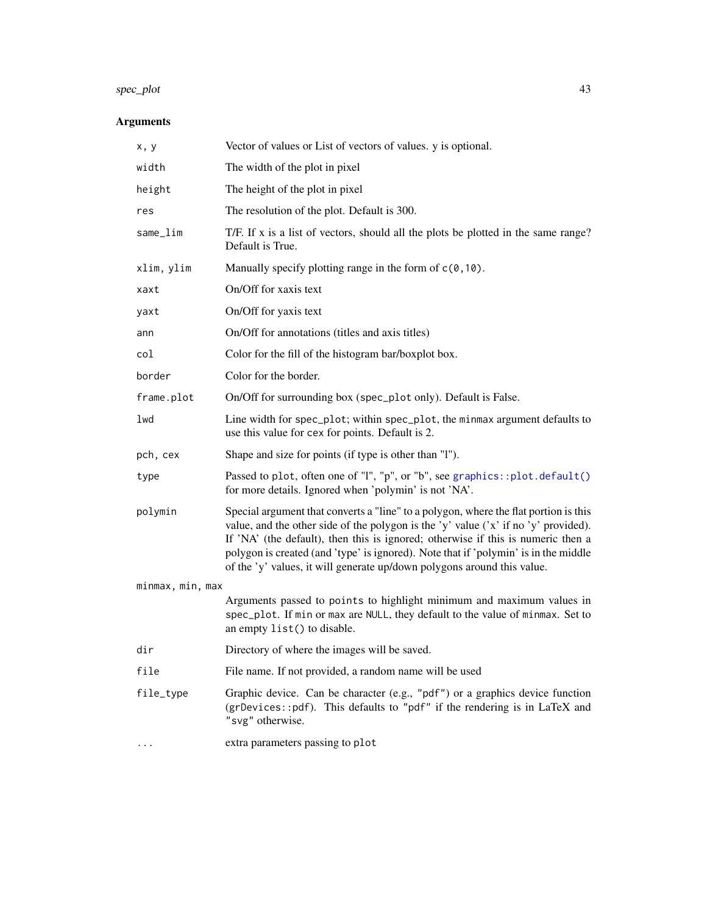## <span id="page-42-0"></span>spec\_plot 43

| x, y             | Vector of values or List of vectors of values. y is optional.                                                                                                                                                                                                                                                                                                                                                                     |  |
|------------------|-----------------------------------------------------------------------------------------------------------------------------------------------------------------------------------------------------------------------------------------------------------------------------------------------------------------------------------------------------------------------------------------------------------------------------------|--|
| width            | The width of the plot in pixel                                                                                                                                                                                                                                                                                                                                                                                                    |  |
| height           | The height of the plot in pixel                                                                                                                                                                                                                                                                                                                                                                                                   |  |
| res              | The resolution of the plot. Default is 300.                                                                                                                                                                                                                                                                                                                                                                                       |  |
| same_lim         | T/F. If x is a list of vectors, should all the plots be plotted in the same range?<br>Default is True.                                                                                                                                                                                                                                                                                                                            |  |
| xlim, ylim       | Manually specify plotting range in the form of $c(0, 10)$ .                                                                                                                                                                                                                                                                                                                                                                       |  |
| xaxt             | On/Off for xaxis text                                                                                                                                                                                                                                                                                                                                                                                                             |  |
| yaxt             | On/Off for yaxis text                                                                                                                                                                                                                                                                                                                                                                                                             |  |
| ann              | On/Off for annotations (titles and axis titles)                                                                                                                                                                                                                                                                                                                                                                                   |  |
| col              | Color for the fill of the histogram bar/boxplot box.                                                                                                                                                                                                                                                                                                                                                                              |  |
| border           | Color for the border.                                                                                                                                                                                                                                                                                                                                                                                                             |  |
| frame.plot       | On/Off for surrounding box (spec_plot only). Default is False.                                                                                                                                                                                                                                                                                                                                                                    |  |
| lwd              | Line width for spec_plot; within spec_plot, the minmax argument defaults to<br>use this value for cex for points. Default is 2.                                                                                                                                                                                                                                                                                                   |  |
| pch, cex         | Shape and size for points (if type is other than "I").                                                                                                                                                                                                                                                                                                                                                                            |  |
| type             | Passed to plot, often one of "l", "p", or "b", see graphics::plot.default()<br>for more details. Ignored when 'polymin' is not 'NA'.                                                                                                                                                                                                                                                                                              |  |
| polymin          | Special argument that converts a "line" to a polygon, where the flat portion is this<br>value, and the other side of the polygon is the 'y' value ('x' if no 'y' provided).<br>If 'NA' (the default), then this is ignored; otherwise if this is numeric then a<br>polygon is created (and 'type' is ignored). Note that if 'polymin' is in the middle<br>of the 'y' values, it will generate up/down polygons around this value. |  |
| minmax, min, max |                                                                                                                                                                                                                                                                                                                                                                                                                                   |  |
|                  | Arguments passed to points to highlight minimum and maximum values in<br>spec_plot. If min or max are NULL, they default to the value of minmax. Set to<br>an empty list() to disable.                                                                                                                                                                                                                                            |  |
| dir              | Directory of where the images will be saved.                                                                                                                                                                                                                                                                                                                                                                                      |  |
| file             | File name. If not provided, a random name will be used                                                                                                                                                                                                                                                                                                                                                                            |  |
| file_type        | Graphic device. Can be character (e.g., "pdf") or a graphics device function<br>(grDevices::pdf). This defaults to "pdf" if the rendering is in LaTeX and<br>"svg" otherwise.                                                                                                                                                                                                                                                     |  |
|                  | extra parameters passing to plot                                                                                                                                                                                                                                                                                                                                                                                                  |  |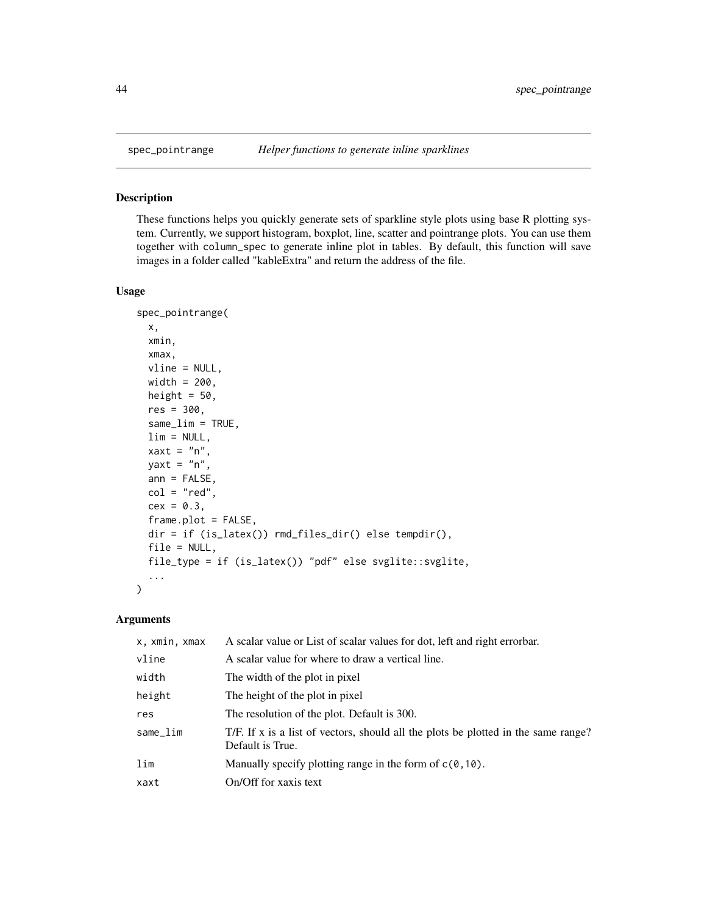<span id="page-43-0"></span>

### Description

These functions helps you quickly generate sets of sparkline style plots using base R plotting system. Currently, we support histogram, boxplot, line, scatter and pointrange plots. You can use them together with column\_spec to generate inline plot in tables. By default, this function will save images in a folder called "kableExtra" and return the address of the file.

### Usage

```
spec_pointrange(
 x,
  xmin,
 xmax,
 vline = NULL,
 width = 200,
 height = 50,
  res = 300,
  same_lim = TRUE,
  \lim = NULL,
  xaxt = "n",yaxt = "n",ann = FALSE,col = "red",cex = 0.3,
  frame.plot = FALSE,
  dir = if (is_latex()) rmd_files_dir() else tempdir(),
  file = NULL,
  file_type = if (is_latex()) "pdf" else svglite::svglite,
  ...
)
```

| x, xmin, xmax | A scalar value or List of scalar values for dot, left and right errorbar.                              |
|---------------|--------------------------------------------------------------------------------------------------------|
| vline         | A scalar value for where to draw a vertical line.                                                      |
| width         | The width of the plot in pixel                                                                         |
| height        | The height of the plot in pixel                                                                        |
| res           | The resolution of the plot. Default is 300.                                                            |
| same_lim      | T/F. If x is a list of vectors, should all the plots be plotted in the same range?<br>Default is True. |
| lim           | Manually specify plotting range in the form of $c(0, 10)$ .                                            |
| xaxt          | On/Off for xaxis text                                                                                  |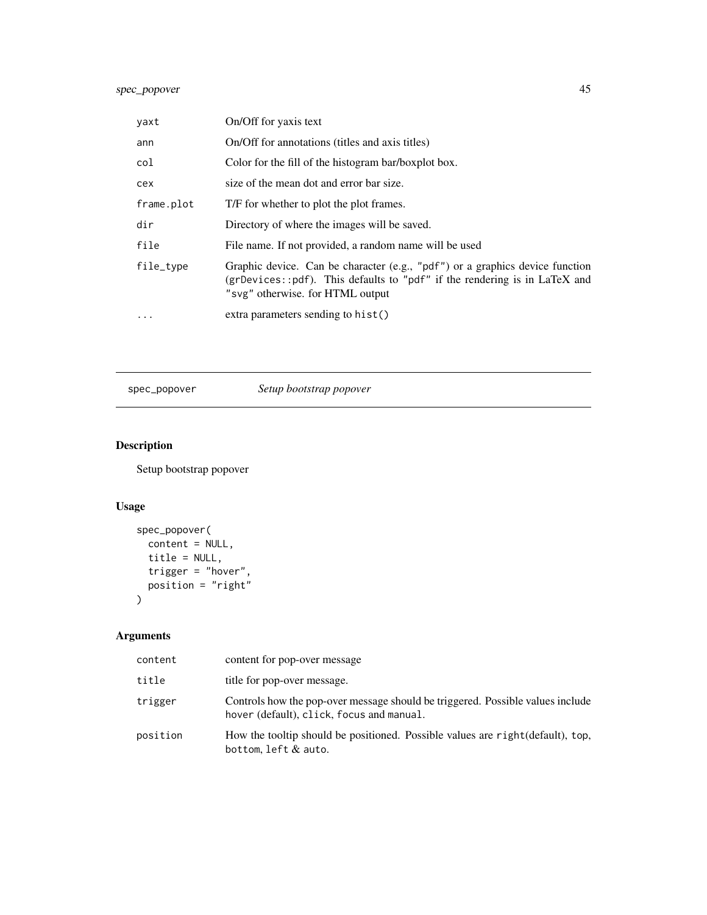### <span id="page-44-0"></span>spec\_popover 45

| yaxt       | On/Off for yaxis text                                                                                                                                                                         |
|------------|-----------------------------------------------------------------------------------------------------------------------------------------------------------------------------------------------|
| ann        | On/Off for annotations (titles and axis titles)                                                                                                                                               |
| col        | Color for the fill of the histogram bar/boxplot box.                                                                                                                                          |
| cex        | size of the mean dot and error bar size.                                                                                                                                                      |
| frame.plot | T/F for whether to plot the plot frames.                                                                                                                                                      |
| dir        | Directory of where the images will be saved.                                                                                                                                                  |
| file       | File name. If not provided, a random name will be used                                                                                                                                        |
| file_type  | Graphic device. Can be character (e.g., "pdf") or a graphics device function<br>(grDevices::pdf). This defaults to "pdf" if the rendering is in LaTeX and<br>"svg" otherwise. for HTML output |
| $\ddotsc$  | extra parameters sending to hist()                                                                                                                                                            |

spec\_popover *Setup bootstrap popover*

### Description

Setup bootstrap popover

### Usage

```
spec_popover(
  content = NULL,
 title = NULL,
  trigger = "hover",
  position = "right"
)
```

| content  | content for pop-over message                                                                                                |
|----------|-----------------------------------------------------------------------------------------------------------------------------|
| title    | title for pop-over message.                                                                                                 |
| trigger  | Controls how the pop-over message should be triggered. Possible values include<br>hover (default), click, focus and manual. |
| position | How the tooltip should be positioned. Possible values are right (default), top,<br>bottom, left $&$ auto.                   |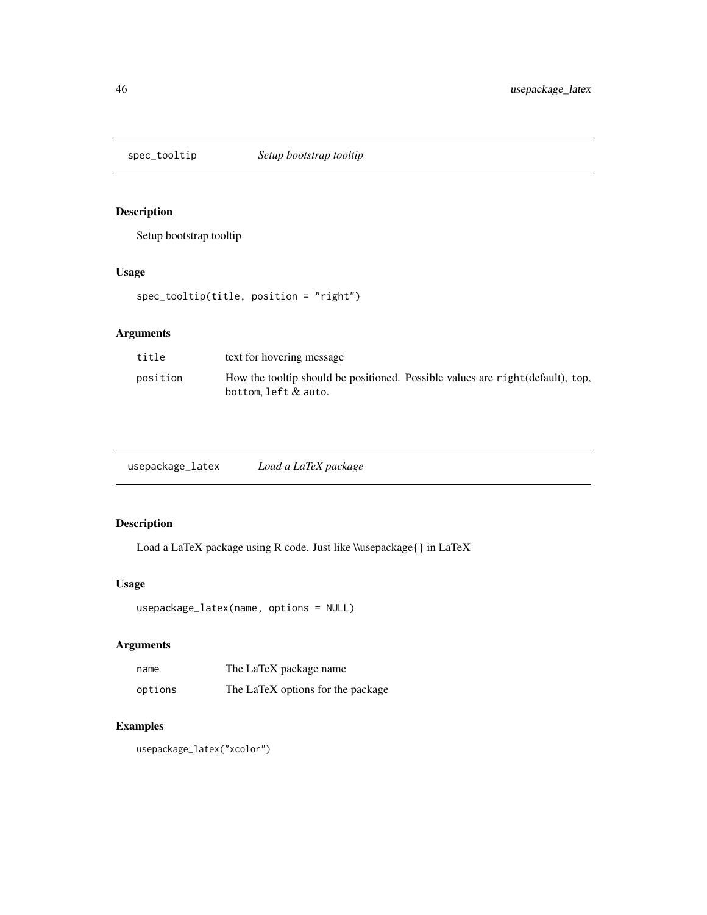<span id="page-45-0"></span>

### Description

Setup bootstrap tooltip

### Usage

spec\_tooltip(title, position = "right")

### Arguments

| title    | text for hovering message                                                                                 |
|----------|-----------------------------------------------------------------------------------------------------------|
| position | How the tooltip should be positioned. Possible values are right (default), top,<br>bottom, $left &$ auto. |

| usepackage_latex | Load a LaTeX package |
|------------------|----------------------|
|------------------|----------------------|

### Description

Load a LaTeX package using R code. Just like \\usepackage{} in LaTeX

### Usage

```
usepackage_latex(name, options = NULL)
```
### Arguments

| name    | The LaTeX package name            |
|---------|-----------------------------------|
| options | The LaTeX options for the package |

### Examples

usepackage\_latex("xcolor")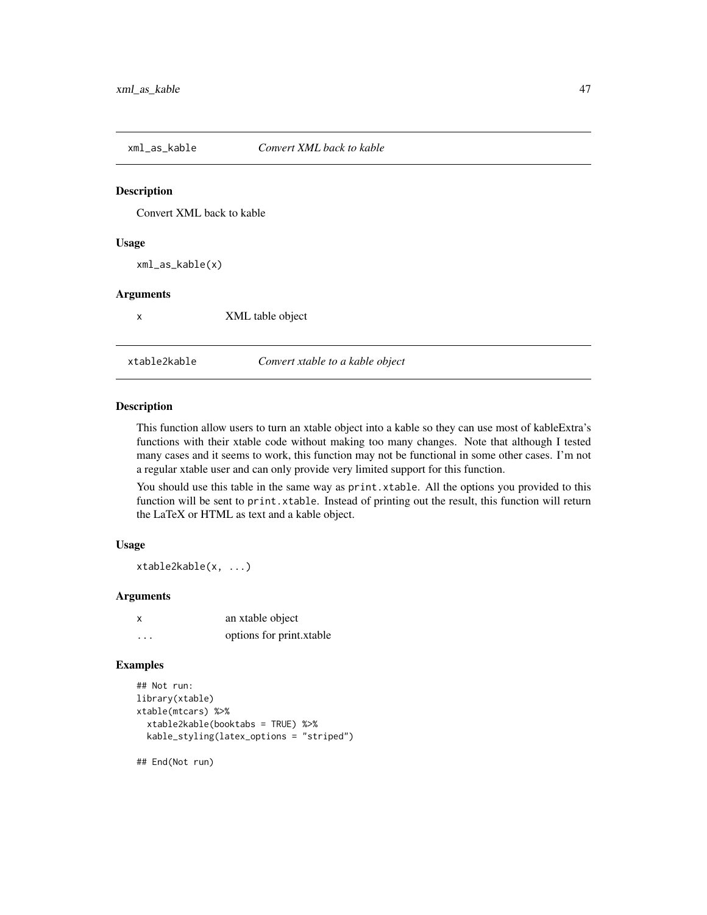<span id="page-46-0"></span>

### Description

Convert XML back to kable

#### Usage

xml\_as\_kable(x)

#### Arguments

x XML table object

xtable2kable *Convert xtable to a kable object*

### Description

This function allow users to turn an xtable object into a kable so they can use most of kableExtra's functions with their xtable code without making too many changes. Note that although I tested many cases and it seems to work, this function may not be functional in some other cases. I'm not a regular xtable user and can only provide very limited support for this function.

You should use this table in the same way as print.xtable. All the options you provided to this function will be sent to print.xtable. Instead of printing out the result, this function will return the LaTeX or HTML as text and a kable object.

#### Usage

xtable2kable(x, ...)

### Arguments

| x        | an xtable object         |
|----------|--------------------------|
| $\cdots$ | options for print.xtable |

#### Examples

```
## Not run:
library(xtable)
xtable(mtcars) %>%
 xtable2kable(booktabs = TRUE) %>%
 kable_styling(latex_options = "striped")
```
## End(Not run)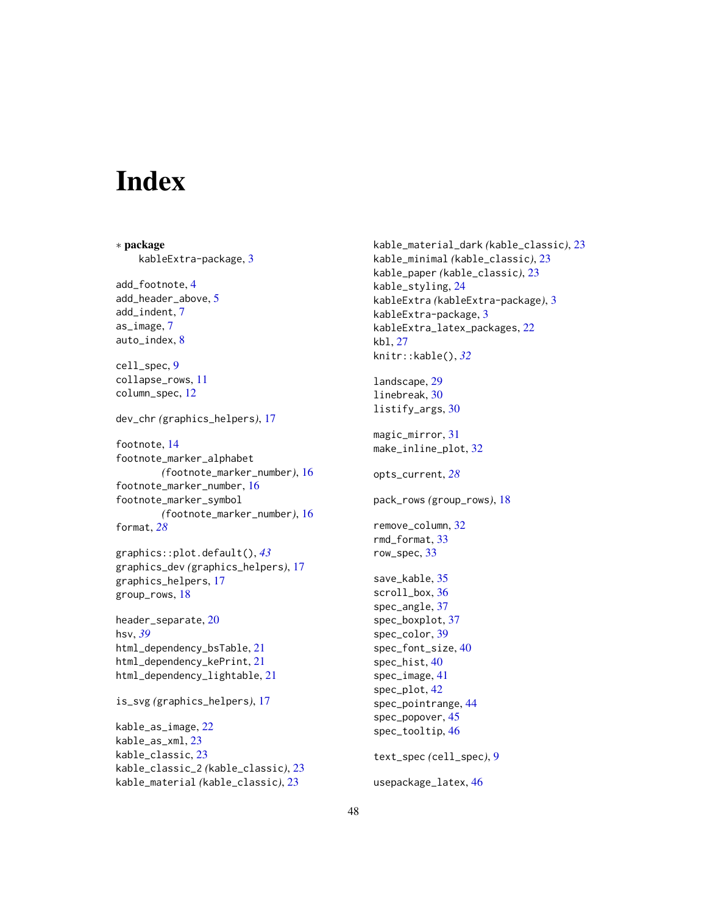# <span id="page-47-0"></span>**Index**

∗ package kableExtra-package, [3](#page-2-0) add\_footnote, [4](#page-3-0) add\_header\_above, [5](#page-4-0) add\_indent, [7](#page-6-0) as\_image, [7](#page-6-0) auto\_index, [8](#page-7-0) cell\_spec, [9](#page-8-0) collapse\_rows, [11](#page-10-0) column\_spec, [12](#page-11-0) dev\_chr *(*graphics\_helpers*)*, [17](#page-16-0) footnote, [14](#page-13-0) footnote\_marker\_alphabet *(*footnote\_marker\_number*)*, [16](#page-15-0) footnote\_marker\_number, [16](#page-15-0) footnote\_marker\_symbol *(*footnote\_marker\_number*)*, [16](#page-15-0) format, *[28](#page-27-0)* graphics::plot.default(), *[43](#page-42-0)* graphics\_dev *(*graphics\_helpers*)*, [17](#page-16-0) graphics\_helpers, [17](#page-16-0) group\_rows, [18](#page-17-0) header\_separate, [20](#page-19-0) hsv, *[39](#page-38-0)* html\_dependency\_bsTable, [21](#page-20-0) html\_dependency\_kePrint, [21](#page-20-0) html\_dependency\_lightable, [21](#page-20-0) is\_svg *(*graphics\_helpers*)*, [17](#page-16-0) kable\_as\_image, [22](#page-21-0) kable\_as\_xml, [23](#page-22-0) kable\_classic, [23](#page-22-0) kable\_classic\_2 *(*kable\_classic*)*, [23](#page-22-0) kable\_material *(*kable\_classic*)*, [23](#page-22-0)

kable\_paper *(*kable\_classic*)*, [23](#page-22-0) kable\_styling, [24](#page-23-0) kableExtra *(*kableExtra-package*)*, [3](#page-2-0) kableExtra-package, [3](#page-2-0) kableExtra\_latex\_packages, [22](#page-21-0) kbl, [27](#page-26-0) knitr::kable(), *[32](#page-31-0)* landscape, [29](#page-28-0) linebreak, [30](#page-29-0) listify\_args, [30](#page-29-0) magic\_mirror, [31](#page-30-0) make\_inline\_plot, [32](#page-31-0) opts\_current, *[28](#page-27-0)* pack\_rows *(*group\_rows*)*, [18](#page-17-0) remove\_column, [32](#page-31-0) rmd\_format, [33](#page-32-0) row\_spec, [33](#page-32-0) save\_kable, [35](#page-34-0) scroll\_box, [36](#page-35-0) spec\_angle, [37](#page-36-0) spec\_boxplot, [37](#page-36-0) spec\_color, [39](#page-38-0) spec\_font\_size, [40](#page-39-0) spec\_hist, [40](#page-39-0) spec\_image, [41](#page-40-0) spec\_plot, [42](#page-41-0) spec\_pointrange, [44](#page-43-0) spec\_popover, [45](#page-44-0) spec\_tooltip, [46](#page-45-0)

kable\_material\_dark *(*kable\_classic*)*, [23](#page-22-0) kable\_minimal *(*kable\_classic*)*, [23](#page-22-0)

text\_spec *(*cell\_spec*)*, [9](#page-8-0)

```
usepackage_latex, 46
```